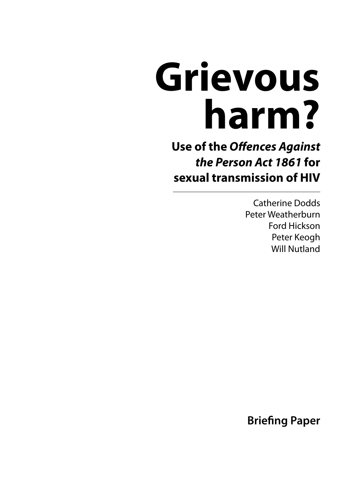# **Grievous harm?**

**Use of the Offences Against the Person Act 1861 for sexual transmission of HIV**

> Catherine Dodds Peter Weatherburn Ford Hickson Peter Keogh Will Nutland

**Briefing Paper**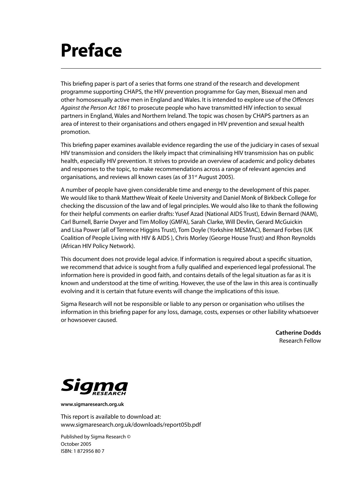# **Preface**

This briefing paper is part of a series that forms one strand of the research and development programme supporting CHAPS, the HIV prevention programme for Gay men, Bisexual men and other homosexually active men in England and Wales. It is intended to explore use of the Offences Against the Person Act 1861 to prosecute people who have transmitted HIV infection to sexual partners in England, Wales and Northern Ireland. The topic was chosen by CHAPS partners as an area of interest to their organisations and others engaged in HIV prevention and sexual health promotion.

This briefing paper examines available evidence regarding the use of the judiciary in cases of sexual HIV transmission and considers the likely impact that criminalising HIV transmission has on public health, especially HIV prevention. It strives to provide an overview of academic and policy debates and responses to the topic, to make recommendations across a range of relevant agencies and organisations, and reviews all known cases (as of 31<sup>st</sup> August 2005).

A number of people have given considerable time and energy to the development of this paper. We would like to thank Matthew Weait of Keele University and Daniel Monk of Birkbeck College for checking the discussion of the law and of legal principles. We would also like to thank the following for their helpful comments on earlier drafts: Yusef Azad (National AIDS Trust), Edwin Bernard (NAM), Carl Burnell, Barrie Dwyer and Tim Molloy (GMFA), Sarah Clarke, Will Devlin, Gerard McGuickin and Lisa Power (all of Terrence Higgins Trust), Tom Doyle (Yorkshire MESMAC), Bernard Forbes (UK Coalition of People Living with HIV & AIDS ), Chris Morley (George House Trust) and Rhon Reynolds (African HIV Policy Network).

This document does not provide legal advice. If information is required about a specific situation, we recommend that advice is sought from a fully qualified and experienced legal professional. The information here is provided in good faith, and contains details of the legal situation as far as it is known and understood at the time of writing. However, the use of the law in this area is continually evolving and it is certain that future events will change the implications of this issue.

Sigma Research will not be responsible or liable to any person or organisation who utilises the information in this briefing paper for any loss, damage, costs, expenses or other liability whatsoever or howsoever caused.

> **Catherine Dodds** Research Fellow



**www.sigmaresearch.org.uk**

This report is available to download at: www.sigmaresearch.org.uk/downloads/report05b.pdf

Published by Sigma Research © October 2005 ISBN: 1 872956 80 7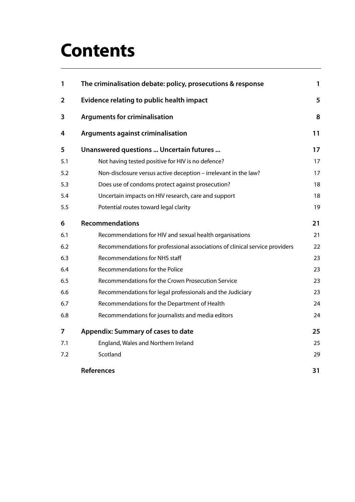# **Contents**

| 1              | The criminalisation debate: policy, prosecutions & response                 | 1  |
|----------------|-----------------------------------------------------------------------------|----|
| $\overline{2}$ | <b>Evidence relating to public health impact</b>                            | 5  |
| 3              | <b>Arguments for criminalisation</b>                                        | 8  |
| 4              | <b>Arguments against criminalisation</b>                                    | 11 |
| 5              | Unanswered questions  Uncertain futures                                     | 17 |
| 5.1            | Not having tested positive for HIV is no defence?                           | 17 |
| 5.2            | Non-disclosure versus active deception - irrelevant in the law?             | 17 |
| 5.3            | Does use of condoms protect against prosecution?                            | 18 |
| 5.4            | Uncertain impacts on HIV research, care and support                         | 18 |
| 5.5            | Potential routes toward legal clarity                                       | 19 |
| 6              | <b>Recommendations</b>                                                      | 21 |
| 6.1            | Recommendations for HIV and sexual health organisations                     | 21 |
| 6.2            | Recommendations for professional associations of clinical service providers | 22 |
| 6.3            | <b>Recommendations for NHS staff</b>                                        | 23 |
| 6.4            | Recommendations for the Police                                              | 23 |
| 6.5            | Recommendations for the Crown Prosecution Service                           | 23 |
| 6.6            | Recommendations for legal professionals and the Judiciary                   | 23 |
| 6.7            | Recommendations for the Department of Health                                | 24 |
| 6.8            | Recommendations for journalists and media editors                           | 24 |
| 7              | <b>Appendix: Summary of cases to date</b>                                   | 25 |
| 7.1            | England, Wales and Northern Ireland                                         | 25 |
| 7.2            | Scotland                                                                    | 29 |
|                | <b>References</b>                                                           | 31 |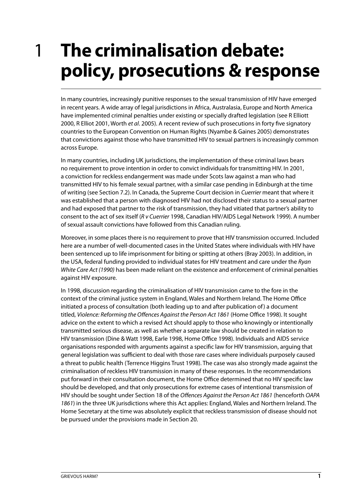### <span id="page-4-0"></span>**The criminalisation debate: policy, prosecutions & response** 1

In many countries, increasingly punitive responses to the sexual transmission of HIV have emerged in recent years. A wide array of legal jurisdictions in Africa, Australasia, Europe and North America have implemented criminal penalties under existing or specially drafted legislation (see R Elliott 2000, R Elliot 2001, Worth et al. 2005). A recent review of such prosecutions in forty five signatory countries to the European Convention on Human Rights (Nyambe & Gaines 2005) demonstrates that convictions against those who have transmitted HIV to sexual partners is increasingly common across Europe.

In many countries, including UK jurisdictions, the implementation of these criminal laws bears no requirement to prove intention in order to convict individuals for transmitting HIV. In 2001, a conviction for reckless endangerment was made under Scots law against a man who had transmitted HIV to his female sexual partner, with a similar case pending in Edinburgh at the time of writing (see Section 7.2). In Canada, the Supreme Court decision in Cuerrier meant that where it was established that a person with diagnosed HIV had not disclosed their status to a sexual partner and had exposed that partner to the risk of transmission, they had vitiated that partner's ability to consent to the act of sex itself (R v Cuerrier 1998, Canadian HIV/AIDS Legal Network 1999). A number of sexual assault convictions have followed from this Canadian ruling.

Moreover, in some places there is no requirement to prove that HIV transmission occurred. Included here are a number of well-documented cases in the United States where individuals with HIV have been sentenced up to life imprisonment for biting or spitting at others (Bray 2003). In addition, in the USA, federal funding provided to individual states for HIV treatment and care under the Ryan White Care Act (1990) has been made reliant on the existence and enforcement of criminal penalties against HIV exposure.

In 1998, discussion regarding the criminalisation of HIV transmission came to the fore in the context of the criminal justice system in England, Wales and Northern Ireland. The Home Office initiated a process of consultation (both leading up to and after publication of) a document titled, Violence: Reforming the Offences Against the Person Act 1861 (Home Office 1998). It sought advice on the extent to which a revised Act should apply to those who knowingly or intentionally transmitted serious disease, as well as whether a separate law should be created in relation to HIV transmission (Dine & Watt 1998, Earle 1998, Home Office 1998). Individuals and AIDS service organisations responded with arguments against a specific law for HIV transmission, arguing that general legislation was sufficient to deal with those rare cases where individuals purposely caused a threat to public health (Terrence Higgins Trust 1998). The case was also strongly made against the criminalisation of reckless HIV transmission in many of these responses. In the recommendations put forward in their consultation document, the Home Office determined that no HIV specific law should be developed, and that only prosecutions for extreme cases of intentional transmission of HIV should be sought under Section 18 of the Offences Against the Person Act 1861 (henceforth OAPA 1861) in the three UK jurisdictions where this Act applies: England, Wales and Northern Ireland. The Home Secretary at the time was absolutely explicit that reckless transmission of disease should not be pursued under the provisions made in Section 20.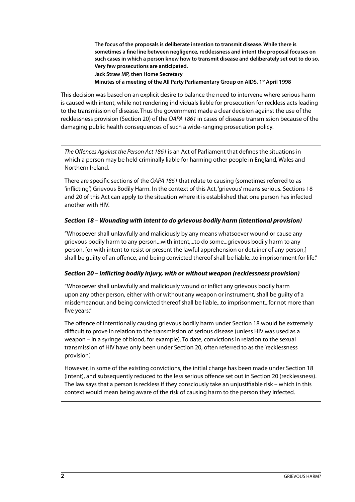**The focus of the proposals is deliberate intention to transmit disease. While there is sometimes a fine line between negligence, recklessness and intent the proposal focuses on such cases in which a person knew how to transmit disease and deliberately set out to do so. Very few prosecutions are anticipated.**

**Jack Straw MP, then Home Secretary**

**Minutes of a meeting of the All Party Parliamentary Group on AIDS, 1st April 1998**

This decision was based on an explicit desire to balance the need to intervene where serious harm is caused with intent, while not rendering individuals liable for prosecution for reckless acts leading to the transmission of disease. Thus the government made a clear decision against the use of the recklessness provision (Section 20) of the OAPA 1861 in cases of disease transmission because of the damaging public health consequences of such a wide-ranging prosecution policy.

The Offences Against the Person Act 1861 is an Act of Parliament that defines the situations in which a person may be held criminally liable for harming other people in England, Wales and Northern Ireland.

There are specific sections of the OAPA 1861 that relate to causing (sometimes referred to as 'inflicting') Grievous Bodily Harm. In the context of this Act, 'grievous' means serious. Sections 18 and 20 of this Act can apply to the situation where it is established that one person has infected another with HIV.

#### **Section 18 – Wounding with intent to do grievous bodily harm (intentional provision)**

"Whosoever shall unlawfully and maliciously by any means whatsoever wound or cause any grievous bodily harm to any person...with intent,...to do some...grievous bodily harm to any person, [or with intent to resist or present the lawful apprehension or detainer of any person,] shall be guilty of an offence, and being convicted thereof shall be liable...to imprisonment for life."

#### **Section 20 – Inflicting bodily injury, with or without weapon (recklessness provision)**

"Whosoever shall unlawfully and maliciously wound or inflict any grievous bodily harm upon any other person, either with or without any weapon or instrument, shall be guilty of a misdemeanour, and being convicted thereof shall be liable...to imprisonment...for not more than five years."

The offence of intentionally causing grievous bodily harm under Section 18 would be extremely difficult to prove in relation to the transmission of serious disease (unless HIV was used as a weapon – in a syringe of blood, for example). To date, convictions in relation to the sexual transmission of HIV have only been under Section 20, often referred to as the 'recklessness provision'.

However, in some of the existing convictions, the initial charge has been made under Section 18 (intent), and subsequently reduced to the less serious offence set out in Section 20 (recklessness). The law says that a person is reckless if they consciously take an unjustifiable risk – which in this context would mean being aware of the risk of causing harm to the person they infected.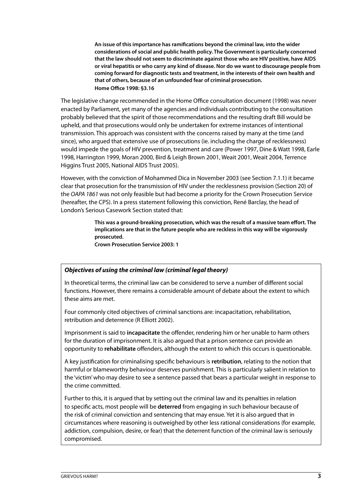**An issue of this importance has ramifications beyond the criminal law, into the wider considerations of social and public health policy. The Government is particularly concerned that the law should not seem to discriminate against those who are HIV positive, have AIDS or viral hepatitis or who carry any kind of disease. Nor do we want to discourage people from coming forward for diagnostic tests and treatment, in the interests of their own health and that of others, because of an unfounded fear of criminal prosecution. Home Office 1998: §3.16**

The legislative change recommended in the Home Office consultation document (1998) was never enacted by Parliament, yet many of the agencies and individuals contributing to the consultation probably believed that the spirit of those recommendations and the resulting draft Bill would be upheld, and that prosecutions would only be undertaken for extreme instances of intentional transmission. This approach was consistent with the concerns raised by many at the time (and since), who argued that extensive use of prosecutions (ie. including the charge of recklessness) would impede the goals of HIV prevention, treatment and care (Power 1997, Dine & Watt 1998, Earle 1998, Harrington 1999, Moran 2000, Bird & Leigh Brown 2001, Weait 2001, Weait 2004, Terrence Higgins Trust 2005, National AIDS Trust 2005).

However, with the conviction of Mohammed Dica in November 2003 (see Section 7.1.1) it became clear that prosecution for the transmission of HIV under the recklessness provision (Section 20) of the OAPA 1861 was not only feasible but had become a priority for the Crown Prosecution Service (hereafter, the CPS). In a press statement following this conviction, René Barclay, the head of London's Serious Casework Section stated that:

> **This was a ground-breaking prosecution, which was the result of a massive team effort. The implications are that in the future people who are reckless in this way will be vigorously prosecuted.**

**Crown Prosecution Service 2003: 1**

#### **Objectives of using the criminal law (criminal legal theory)**

In theoretical terms, the criminal law can be considered to serve a number of different social functions. However, there remains a considerable amount of debate about the extent to which these aims are met.

Four commonly cited objectives of criminal sanctions are: incapacitation, rehabilitation, retribution and deterrence (R Elliott 2002).

Imprisonment is said to **incapacitate** the offender, rendering him or her unable to harm others for the duration of imprisonment. It is also argued that a prison sentence can provide an opportunity to **rehabilitate** offenders, although the extent to which this occurs is questionable.

A key justification for criminalising specific behaviours is **retribution**, relating to the notion that harmful or blameworthy behaviour deserves punishment. This is particularly salient in relation to the 'victim' who may desire to see a sentence passed that bears a particular weight in response to the crime committed.

Further to this, it is argued that by setting out the criminal law and its penalties in relation to specific acts, most people will be **deterred** from engaging in such behaviour because of the risk of criminal conviction and sentencing that may ensue. Yet it is also argued that in circumstances where reasoning is outweighed by other less rational considerations (for example, addiction, compulsion, desire, or fear) that the deterrent function of the criminal law is seriously compromised.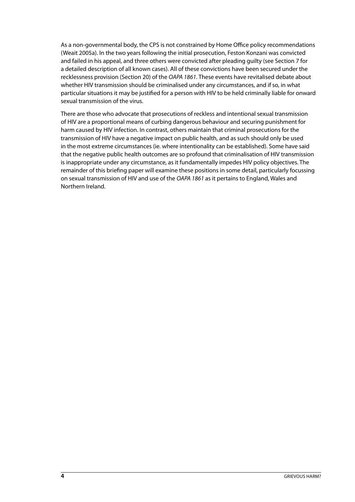As a non-governmental body, the CPS is not constrained by Home Office policy recommendations (Weait 2005a). In the two years following the initial prosecution, Feston Konzani was convicted and failed in his appeal, and three others were convicted after pleading guilty (see Section 7 for a detailed description of all known cases). All of these convictions have been secured under the recklessness provision (Section 20) of the OAPA 1861. These events have revitalised debate about whether HIV transmission should be criminalised under any circumstances, and if so, in what particular situations it may be justified for a person with HIV to be held criminally liable for onward sexual transmission of the virus.

There are those who advocate that prosecutions of reckless and intentional sexual transmission of HIV are a proportional means of curbing dangerous behaviour and securing punishment for harm caused by HIV infection. In contrast, others maintain that criminal prosecutions for the transmission of HIV have a negative impact on public health, and as such should only be used in the most extreme circumstances (ie. where intentionality can be established). Some have said that the negative public health outcomes are so profound that criminalisation of HIV transmission is inappropriate under any circumstance, as it fundamentally impedes HIV policy objectives. The remainder of this briefing paper will examine these positions in some detail, particularly focussing on sexual transmission of HIV and use of the OAPA 1861 as it pertains to England, Wales and Northern Ireland.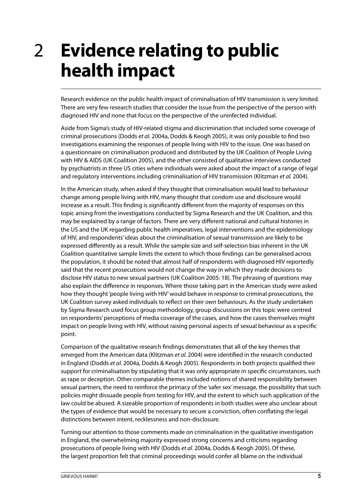### <span id="page-8-0"></span>**Evidence relating to public health impact** 2

Research evidence on the public health impact of criminalisation of HIV transmission is very limited. There are very few research studies that consider the issue from the perspective of the person with diagnosed HIV and none that focus on the perspective of the uninfected individual.

Aside from Sigma's study of HIV-related stigma and discrimination that included some coverage of criminal prosecutions (Dodds et al. 2004a, Dodds & Keogh 2005), it was only possible to find two investigations examining the responses of people living with HIV to the issue. One was based on a questionnaire on criminalisation produced and distributed by the UK Coalition of People Living with HIV & AIDS (UK Coalition 2005), and the other consisted of qualitative interviews conducted by psychiatrists in three US cities where individuals were asked about the impact of a range of legal and regulatory interventions including criminalisation of HIV transmission (Klitzman et al. 2004).

In the American study, when asked if they thought that criminalisation would lead to behaviour change among people living with HIV, many thought that condom use and disclosure would increase as a result. This finding is significantly different from the majority of responses on this topic arising from the investigations conducted by Sigma Research and the UK Coalition, and this may be explained by a range of factors. There are very different national and cultural histories in the US and the UK regarding public health imperatives, legal interventions and the epidemiology of HIV, and respondents' ideas about the criminalisation of sexual transmission are likely to be expressed differently as a result. While the sample size and self-selection bias inherent in the UK Coalition quantitative sample limits the extent to which those findings can be generalised across the population, it should be noted that almost half of respondents with diagnosed HIV reportedly said that the recent prosecutions would not change the way in which they made decisions to disclose HIV status to new sexual partners (UK Coalition 2005: 18). The phrasing of questions may also explain the difference in responses. Where those taking part in the American study were asked how they thought 'people living with HIV' would behave in response to criminal prosecutions, the UK Coalition survey asked individuals to reflect on their own behaviours. As the study undertaken by Sigma Research used focus group methodology, group discussions on this topic were centred on respondents' perceptions of media coverage of the cases, and how the cases themselves might impact on people living with HIV, without raising personal aspects of sexual behaviour as a specific point.

Comparison of the qualitative research findings demonstrates that all of the key themes that emerged from the American data (Klitzman et al. 2004) were identified in the research conducted in England (Dodds et al. 2004a, Dodds & Keogh 2005). Respondents in both projects qualified their support for criminalisation by stipulating that it was only appropriate in specific circumstances, such as rape or deception. Other comparable themes included notions of shared responsibility between sexual partners, the need to reinforce the primacy of the 'safer sex' message, the possibility that such policies might dissuade people from testing for HIV, and the extent to which such application of the law could be abused. A sizeable proportion of respondents in both studies were also unclear about the types of evidence that would be necessary to secure a conviction, often conflating the legal distinctions between intent, recklessness and non-disclosure.

Turning our attention to those comments made on criminalisation in the qualitative investigation in England, the overwhelming majority expressed strong concerns and criticisms regarding prosecutions of people living with HIV (Dodds et al. 2004a, Dodds & Keogh 2005). Of these, the largest proportion felt that criminal proceedings would confer all blame on the individual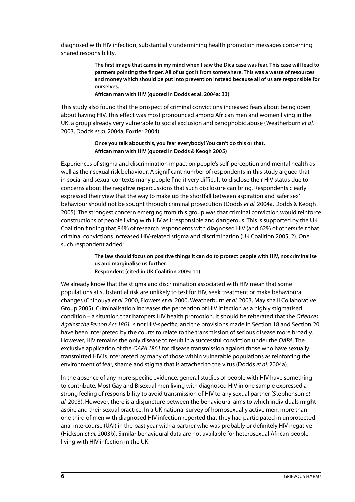diagnosed with HIV infection, substantially undermining health promotion messages concerning shared responsibility.

> **The first image that came in my mind when I saw the Dica case was fear. This case will lead to partners pointing the finger. All of us got it from somewhere. This was a waste of resources and money which should be put into prevention instead because all of us are responsible for ourselves.**

#### **African man with HIV (quoted in Dodds et al. 2004a: 33)**

This study also found that the prospect of criminal convictions increased fears about being open about having HIV. This effect was most pronounced among African men and women living in the UK, a group already very vulnerable to social exclusion and xenophobic abuse (Weatherburn et al. 2003, Dodds et al. 2004a, Fortier 2004).

#### **Once you talk about this, you fear everybody! You can't do this or that. African man with HIV (quoted in Dodds & Keogh 2005)**

Experiences of stigma and discrimination impact on people's self-perception and mental health as well as their sexual risk behaviour. A significant number of respondents in this study argued that in social and sexual contexts many people find it very difficult to disclose their HIV status due to concerns about the negative repercussions that such disclosure can bring. Respondents clearly expressed their view that the way to make up the shortfall between aspiration and 'safer sex' behaviour should not be sought through criminal prosecution (Dodds et al. 2004a, Dodds & Keogh 2005). The strongest concern emerging from this group was that criminal conviction would reinforce constructions of people living with HIV as irresponsible and dangerous. This is supported by the UK Coalition finding that 84% of research respondents with diagnosed HIV (and 62% of others) felt that criminal convictions increased HIV-related stigma and discrimination (UK Coalition 2005: 2). One such respondent added:

#### **The law should focus on positive things it can do to protect people with HIV, not criminalise us and marginalise us further.**

**Respondent (cited in UK Coalition 2005: 11)**

We already know that the stigma and discrimination associated with HIV mean that some populations at substantial risk are unlikely to test for HIV, seek treatment or make behavioural changes (Chinouya et al. 2000, Flowers et al. 2000, Weatherburn et al. 2003, Mayisha II Collaborative Group 2005). Criminalisation increases the perception of HIV infection as a highly stigmatised condition – a situation that hampers HIV health promotion. It should be reiterated that the Offences Against the Person Act 1861 is not HIV-specific, and the provisions made in Section 18 and Section 20 have been interpreted by the courts to relate to the transmission of serious disease more broadly. However, HIV remains the only disease to result in a successful conviction under the OAPA. The exclusive application of the OAPA 1861 for disease transmission against those who have sexually transmitted HIV is interpreted by many of those within vulnerable populations as reinforcing the environment of fear, shame and stigma that is attached to the virus (Dodds et al. 2004a).

In the absence of any more specific evidence, general studies of people with HIV have something to contribute. Most Gay and Bisexual men living with diagnosed HIV in one sample expressed a strong feeling of responsibility to avoid transmission of HIV to any sexual partner (Stephenson et al. 2003). However, there is a disjuncture between the behavioural aims to which individuals might aspire and their sexual practice. In a UK national survey of homosexually active men, more than one third of men with diagnosed HIV infection reported that they had participated in unprotected anal intercourse (UAI) in the past year with a partner who was probably or definitely HIV negative (Hickson et al. 2003b). Similar behavioural data are not available for heterosexual African people living with HIV infection in the UK.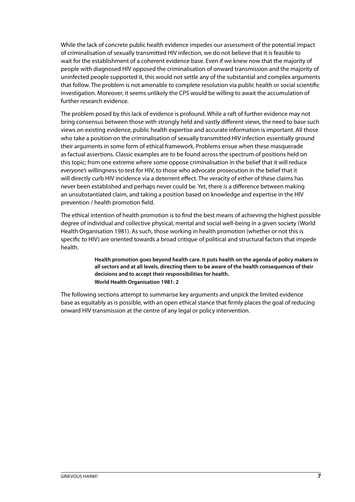While the lack of concrete public health evidence impedes our assessment of the potential impact of criminalisation of sexually transmitted HIV infection, we do not believe that it is feasible to wait for the establishment of a coherent evidence base. Even if we knew now that the majority of people with diagnosed HIV opposed the criminalisation of onward transmission and the majority of uninfected people supported it, this would not settle any of the substantial and complex arguments that follow. The problem is not amenable to complete resolution via public health or social scientific investigation. Moreover, it seems unlikely the CPS would be willing to await the accumulation of further research evidence.

The problem posed by this lack of evidence is profound. While a raft of further evidence may not bring consensus between those with strongly held and vastly different views, the need to base such views on existing evidence, public health expertise and accurate information is important. All those who take a position on the criminalisation of sexually transmitted HIV infection essentially ground their arguments in some form of ethical framework. Problems ensue when these masquerade as factual assertions. Classic examples are to be found across the spectrum of positions held on this topic; from one extreme where some oppose criminalisation in the belief that it will reduce everyone's willingness to test for HIV, to those who advocate prosecution in the belief that it will directly curb HIV incidence via a deterrent effect. The veracity of either of these claims has never been established and perhaps never could be. Yet, there is a difference between making an unsubstantiated claim, and taking a position based on knowledge and expertise in the HIV prevention / health promotion field.

The ethical intention of health promotion is to find the best means of achieving the highest possible degree of individual and collective physical, mental and social well-being in a given society (World Health Organisation 1981). As such, those working in health promotion (whether or not this is specific to HIV) are oriented towards a broad critique of political and structural factors that impede health.

> **Health promotion goes beyond health care. It puts health on the agenda of policy makers in all sectors and at all levels, directing them to be aware of the health consequences of their decisions and to accept their responsibilities for health. World Health Organisation 1981: 2**

The following sections attempt to summarise key arguments and unpick the limited evidence base as equitably as is possible, with an open ethical stance that firmly places the goal of reducing onward HIV transmission at the centre of any legal or policy intervention.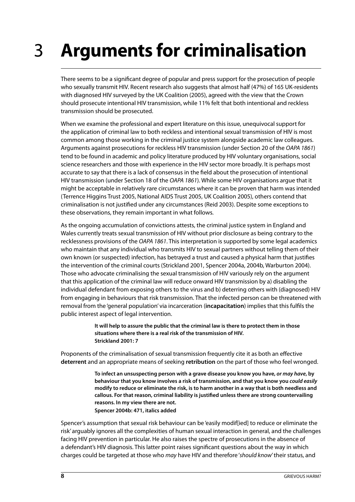### <span id="page-11-0"></span>**Arguments for criminalisation** 3

There seems to be a significant degree of popular and press support for the prosecution of people who sexually transmit HIV. Recent research also suggests that almost half (47%) of 165 UK-residents with diagnosed HIV surveyed by the UK Coalition (2005), agreed with the view that the Crown should prosecute intentional HIV transmission, while 11% felt that both intentional and reckless transmission should be prosecuted.

When we examine the professional and expert literature on this issue, unequivocal support for the application of criminal law to both reckless and intentional sexual transmission of HIV is most common among those working in the criminal justice system alongside academic law colleagues. Arguments against prosecutions for reckless HIV transmission (under Section 20 of the OAPA 1861) tend to be found in academic and policy literature produced by HIV voluntary organisations, social science researchers and those with experience in the HIV sector more broadly. It is perhaps most accurate to say that there is a lack of consensus in the field about the prosecution of intentional HIV transmission (under Section 18 of the OAPA 1861). While some HIV organisations argue that it might be acceptable in relatively rare circumstances where it can be proven that harm was intended (Terrence Higgins Trust 2005, National AIDS Trust 2005, UK Coalition 2005), others contend that criminalisation is not justified under any circumstances (Reid 2003). Despite some exceptions to these observations, they remain important in what follows.

As the ongoing accumulation of convictions attests, the criminal justice system in England and Wales currently treats sexual transmission of HIV without prior disclosure as being contrary to the recklessness provisions of the OAPA 1861. This interpretation is supported by some legal academics who maintain that any individual who transmits HIV to sexual partners without telling them of their own known (or suspected) infection, has betrayed a trust and caused a physical harm that justifies the intervention of the criminal courts (Strickland 2001, Spencer 2004a, 2004b, Warburton 2004). Those who advocate criminalising the sexual transmission of HIV variously rely on the argument that this application of the criminal law will reduce onward HIV transmission by a) disabling the individual defendant from exposing others to the virus and b) deterring others with (diagnosed) HIV from engaging in behaviours that risk transmission. That the infected person can be threatened with removal from the 'general population' via incarceration (**incapacitation**) implies that this fulfils the public interest aspect of legal intervention.

> **It will help to assure the public that the criminal law is there to protect them in those situations where there is a real risk of the transmission of HIV. Strickland 2001: 7**

Proponents of the criminalisation of sexual transmission frequently cite it as both an effective **deterrent** and an appropriate means of seeking **retribution** on the part of those who feel wronged.

> **To infect an unsuspecting person with a grave disease you know you have, or may have, by behaviour that you know involves a risk of transmission, and that you know you could easily modify to reduce or eliminate the risk, is to harm another in a way that is both needless and callous. For that reason, criminal liability is justified unless there are strong countervailing reasons. In my view there are not. Spencer 2004b: 471, italics added**

Spencer's assumption that sexual risk behaviour can be 'easily modif[ied] to reduce or eliminate the risk' arguably ignores all the complexities of human sexual interaction in general, and the challenges facing HIV prevention in particular. He also raises the spectre of prosecutions in the absence of a defendant's HIV diagnosis. This latter point raises significant questions about the way in which charges could be targeted at those who may have HIV and therefore 'should know' their status, and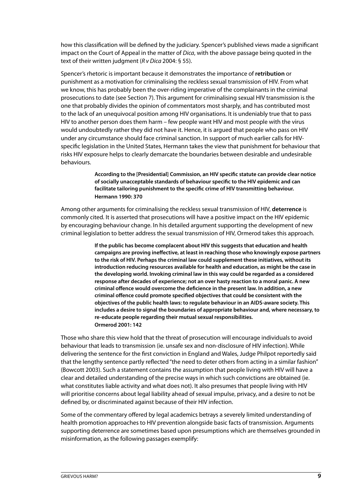how this classification will be defined by the judiciary. Spencer's published views made a significant impact on the Court of Appeal in the matter of Dica, with the above passage being quoted in the text of their written judgment ( $R$  v Dica 2004: § 55).

Spencer's rhetoric is important because it demonstrates the importance of **retribution** or punishment as a motivation for criminalising the reckless sexual transmission of HIV. From what we know, this has probably been the over-riding imperative of the complainants in the criminal prosecutions to date (see Section 7). This argument for criminalising sexual HIV transmission is the one that probably divides the opinion of commentators most sharply, and has contributed most to the lack of an unequivocal position among HIV organisations. It is undeniably true that to pass HIV to another person does them harm – few people want HIV and most people with the virus would undoubtedly rather they did not have it. Hence, it is argued that people who pass on HIV under any circumstance should face criminal sanction. In support of much earlier calls for HIVspecific legislation in the United States, Hermann takes the view that punishment for behaviour that risks HIV exposure helps to clearly demarcate the boundaries between desirable and undesirable behaviours.

> **According to the [Presidential] Commission, an HIV specific statute can provide clear notice of socially unacceptable standards of behaviour specific to the HIV epidemic and can facilitate tailoring punishment to the specific crime of HIV transmitting behaviour. Hermann 1990: 370**

Among other arguments for criminalising the reckless sexual transmission of HIV, **deterrence** is commonly cited. It is asserted that prosecutions will have a positive impact on the HIV epidemic by encouraging behaviour change. In his detailed argument supporting the development of new criminal legislation to better address the sexual transmission of HIV, Ormerod takes this approach.

> **If the public has become complacent about HIV this suggests that education and health campaigns are proving ineffective, at least in reaching those who knowingly expose partners to the risk of HIV. Perhaps the criminal law could supplement these initiatives, without its introduction reducing resources available for health and education, as might be the case in the developing world. Invoking criminal law in this way could be regarded as a considered response after decades of experience; not an over hasty reaction to a moral panic. A new criminal offence would overcome the deficience in the present law. In addition, a new criminal offence could promote specified objectives that could be consistent with the objectives of the public health laws: to regulate behaviour in an AIDS-aware society. This includes a desire to signal the boundaries of appropriate behaviour and, where necessary, to re-educate people regarding their mutual sexual responsibilities. Ormerod 2001: 142**

Those who share this view hold that the threat of prosecution will encourage individuals to avoid behaviour that leads to transmission (ie. unsafe sex and non-disclosure of HIV infection). While delivering the sentence for the first conviction in England and Wales, Judge Philpot reportedly said that the lengthy sentence partly reflected "the need to deter others from acting in a similar fashion" (Bowcott 2003). Such a statement contains the assumption that people living with HIV will have a clear and detailed understanding of the precise ways in which such convictions are obtained (ie. what constitutes liable activity and what does not). It also presumes that people living with HIV will prioritise concerns about legal liability ahead of sexual impulse, privacy, and a desire to not be defined by, or discriminated against because of their HIV infection.

Some of the commentary offered by legal academics betrays a severely limited understanding of health promotion approaches to HIV prevention alongside basic facts of transmission. Arguments supporting deterrence are sometimes based upon presumptions which are themselves grounded in misinformation, as the following passages exemplify: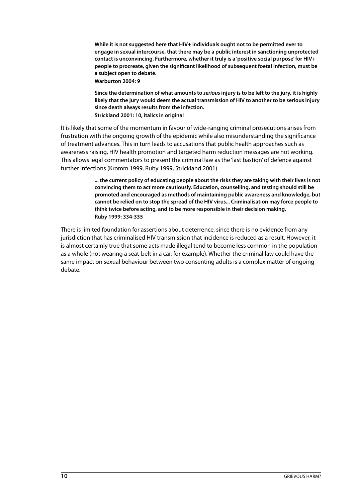**While it is not suggested here that HIV+ individuals ought not to be permitted ever to engage in sexual intercourse, that there may be a public interest in sanctioning unprotected contact is unconvincing. Furthermore, whether it truly is a 'positive social purpose' for HIV+ people to procreate, given the significant likelihood of subsequent foetal infection, must be a subject open to debate.**

**Warburton 2004: 9**

**Since the determination of what amounts to seriousinjury is to be left to the jury, it is highly likely that the jury would deem the actual transmission of HIV to another to be serious injury since death always results from the infection. Strickland 2001: 10, italics in original**

It is likely that some of the momentum in favour of wide-ranging criminal prosecutions arises from frustration with the ongoing growth of the epidemic while also misunderstanding the significance of treatment advances. This in turn leads to accusations that public health approaches such as awareness raising, HIV health promotion and targeted harm reduction messages are not working. This allows legal commentators to present the criminal law as the 'last bastion' of defence against further infections (Kromm 1999, Ruby 1999, Strickland 2001).

> **... the current policy of educating people about the risks they are taking with their lives is not convincing them to act more cautiously. Education, counselling, and testing should still be promoted and encouraged as methods of maintaining public awareness and knowledge, but cannot be relied on to stop the spread of the HIV virus... Criminalisation may force people to think twice before acting, and to be more responsible in their decision making. Ruby 1999: 334-335**

There is limited foundation for assertions about deterrence, since there is no evidence from any jurisdiction that has criminalised HIV transmission that incidence is reduced as a result. However, it is almost certainly true that some acts made illegal tend to become less common in the population as a whole (not wearing a seat-belt in a car, for example). Whether the criminal law could have the same impact on sexual behaviour between two consenting adults is a complex matter of ongoing debate.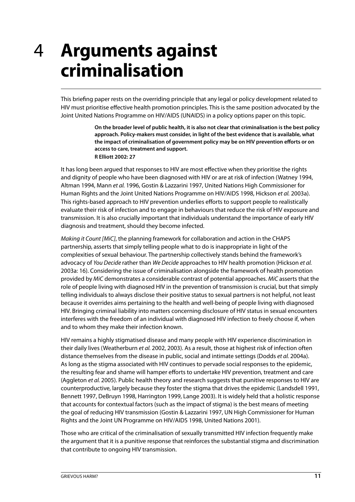### <span id="page-14-0"></span>**Arguments against criminalisation** 4

This briefing paper rests on the overriding principle that any legal or policy development related to HIV must prioritise effective health promotion principles. This is the same position advocated by the Joint United Nations Programme on HIV/AIDS (UNAIDS) in a policy options paper on this topic.

> **On the broader level of public health, it is also not clear that criminalisation is the best policy approach. Policy-makers must consider, in light of the best evidence that is available, what the impact of criminalisation of government policy may be on HIV prevention efforts or on access to care, treatment and support. R Elliott 2002: 27**

It has long been argued that responses to HIV are most effective when they prioritise the rights and dignity of people who have been diagnosed with HIV or are at risk of infection (Watney 1994, Altman 1994, Mann et al. 1996, Gostin & Lazzarini 1997, United Nations High Commissioner for Human Rights and the Joint United Nations Programme on HIV/AIDS 1998, Hickson et al. 2003a). This rights-based approach to HIV prevention underlies efforts to support people to realistically evaluate their risk of infection and to engage in behaviours that reduce the risk of HIV exposure and transmission. It is also crucially important that individuals understand the importance of early HIV diagnosis and treatment, should they become infected.

Making it Count [MiC], the planning framework for collaboration and action in the CHAPS partnership, asserts that simply telling people what to do is inappropriate in light of the complexities of sexual behaviour. The partnership collectively stands behind the framework's advocacy of You Decide rather than We Decide approaches to HIV health promotion (Hickson et al. 2003a: 16). Considering the issue of criminalisation alongside the framework of health promotion provided by MiC demonstrates a considerable contrast of potential approaches. MiC asserts that the role of people living with diagnosed HIV in the prevention of transmission is crucial, but that simply telling individuals to always disclose their positive status to sexual partners is not helpful, not least because it overrides aims pertaining to the health and well-being of people living with diagnosed HIV. Bringing criminal liability into matters concerning disclosure of HIV status in sexual encounters interferes with the freedom of an individual with diagnosed HIV infection to freely choose if, when and to whom they make their infection known.

HIV remains a highly stigmatised disease and many people with HIV experience discrimination in their daily lives (Weatherburn et al. 2002, 2003). As a result, those at highest risk of infection often distance themselves from the disease in public, social and intimate settings (Dodds et al. 2004a). As long as the stigma associated with HIV continues to pervade social responses to the epidemic, the resulting fear and shame will hamper efforts to undertake HIV prevention, treatment and care (Aggleton et al. 2005). Public health theory and research suggests that punitive responses to HIV are counterproductive, largely because they foster the stigma that drives the epidemic (Landsdell 1991, Bennett 1997, DeBruyn 1998, Harrington 1999, Lange 2003). It is widely held that a holistic response that accounts for contextual factors (such as the impact of stigma) is the best means of meeting the goal of reducing HIV transmission (Gostin & Lazzarini 1997, UN High Commissioner for Human Rights and the Joint UN Programme on HIV/AIDS 1998, United Nations 2001).

Those who are critical of the criminalisation of sexually transmitted HIV infection frequently make the argument that it is a punitive response that reinforces the substantial stigma and discrimination that contribute to ongoing HIV transmission.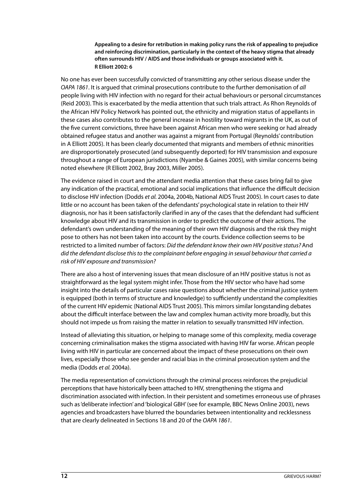**Appealing to a desire for retribution in making policy runs the risk of appealing to prejudice and reinforcing discrimination, particularly in the context of the heavy stigma that already often surrounds HIV / AIDS and those individuals or groups associated with it. R Elliott 2002: 6**

No one has ever been successfully convicted of transmitting any other serious disease under the OAPA 1861. It is argued that criminal prosecutions contribute to the further demonisation of all people living with HIV infection with no regard for their actual behaviours or personal circumstances (Reid 2003). This is exacerbated by the media attention that such trials attract. As Rhon Reynolds of the African HIV Policy Network has pointed out, the ethnicity and migration status of appellants in these cases also contributes to the general increase in hostility toward migrants in the UK, as out of the five current convictions, three have been against African men who were seeking or had already obtained refugee status and another was against a migrant from Portugal (Reynolds' contribution in A Elliott 2005). It has been clearly documented that migrants and members of ethnic minorities are disproportionately prosecuted (and subsequently deported) for HIV transmission and exposure throughout a range of European jurisdictions (Nyambe & Gaines 2005), with similar concerns being noted elsewhere (R Elliott 2002, Bray 2003, Miller 2005).

The evidence raised in court and the attendant media attention that these cases bring fail to give any indication of the practical, emotional and social implications that influence the difficult decision to disclose HIV infection (Dodds et al. 2004a, 2004b, National AIDS Trust 2005). In court cases to date little or no account has been taken of the defendants' psychological state in relation to their HIV diagnosis, nor has it been satisfactorily clarified in any of the cases that the defendant had sufficient knowledge about HIV and its transmission in order to predict the outcome of their actions. The defendant's own understanding of the meaning of their own HIV diagnosis and the risk they might pose to others has not been taken into account by the courts. Evidence collection seems to be restricted to a limited number of factors: Did the defendant know their own HIV positive status? And did the defendant disclose this to the complainant before engaging in sexual behaviour that carried a risk of HIV exposure and transmission?

There are also a host of intervening issues that mean disclosure of an HIV positive status is not as straightforward as the legal system might infer. Those from the HIV sector who have had some insight into the details of particular cases raise questions about whether the criminal justice system is equipped (both in terms of structure and knowledge) to sufficiently understand the complexities of the current HIV epidemic (National AIDS Trust 2005). This mirrors similar longstanding debates about the difficult interface between the law and complex human activity more broadly, but this should not impede us from raising the matter in relation to sexually transmitted HIV infection.

Instead of alleviating this situation, or helping to manage some of this complexity, media coverage concerning criminalisation makes the stigma associated with having HIV far worse. African people living with HIV in particular are concerned about the impact of these prosecutions on their own lives, especially those who see gender and racial bias in the criminal prosecution system and the media (Dodds et al. 2004a).

The media representation of convictions through the criminal process reinforces the prejudicial perceptions that have historically been attached to HIV, strengthening the stigma and discrimination associated with infection. In their persistent and sometimes erroneous use of phrases such as 'deliberate infection' and 'biological GBH' (see for example, BBC News Online 2003), news agencies and broadcasters have blurred the boundaries between intentionality and recklessness that are clearly delineated in Sections 18 and 20 of the OAPA 1861.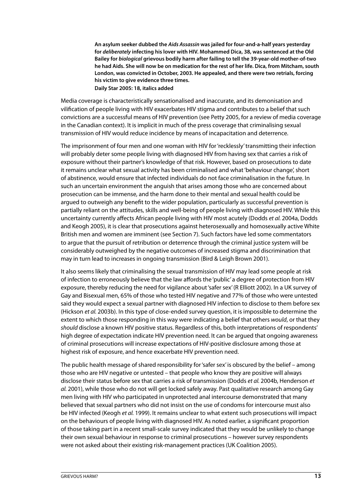**An asylum seeker dubbed the Aids Assassin was jailed for four-and-a-half years yesterday for deliberately infecting his lover with HIV. Mohammed Dica, 38, was sentenced at the Old Bailey for biological grievous bodily harm after failing to tell the 39-year-old mother-of-two he had Aids. She will now be on medication for the rest of her life. Dica, from Mitcham, south London, was convicted in October, 2003. He appealed, and there were two retrials, forcing his victim to give evidence three times. Daily Star 2005: 18, italics added**

Media coverage is characteristically sensationalised and inaccurate, and its demonisation and vilification of people living with HIV exacerbates HIV stigma and contributes to a belief that such convictions are a successful means of HIV prevention (see Petty 2005, for a review of media coverage in the Canadian context). It is implicit in much of the press coverage that criminalising sexual transmission of HIV would reduce incidence by means of incapacitation and deterrence.

The imprisonment of four men and one woman with HIV for 'recklessly' transmitting their infection will probably deter some people living with diagnosed HIV from having sex that carries a risk of exposure without their partner's knowledge of that risk. However, based on prosecutions to date it remains unclear what sexual activity has been criminalised and what 'behaviour change', short of abstinence, would ensure that infected individuals do not face criminalisation in the future. In such an uncertain environment the anguish that arises among those who are concerned about prosecution can be immense, and the harm done to their mental and sexual health could be argued to outweigh any benefit to the wider population, particularly as successful prevention is partially reliant on the attitudes, skills and well-being of people living with diagnosed HIV. While this uncertainty currently affects African people living with HIV most acutely (Dodds et al. 2004a, Dodds and Keogh 2005), it is clear that prosecutions against heterosexually and homosexually active White British men and women are imminent (see Section 7). Such factors have led some commentators to argue that the pursuit of retribution or deterrence through the criminal justice system will be considerably outweighed by the negative outcomes of increased stigma and discrimination that may in turn lead to increases in ongoing transmission (Bird & Leigh Brown 2001).

It also seems likely that criminalising the sexual transmission of HIV may lead some people at risk of infection to erroneously believe that the law affords the 'public' a degree of protection from HIV exposure, thereby reducing the need for vigilance about 'safer sex' (R Elliott 2002). In a UK survey of Gay and Bisexual men, 65% of those who tested HIV negative and 77% of those who were untested said they would expect a sexual partner with diagnosed HIV infection to disclose to them before sex (Hickson et al. 2003b). In this type of close-ended survey question, it is impossible to determine the extent to which those responding in this way were indicating a belief that others would, or that they should disclose a known HIV positive status. Regardless of this, both interpretations of respondents' high degree of expectation indicate HIV prevention need. It can be argued that ongoing awareness of criminal prosecutions will increase expectations of HIV-positive disclosure among those at highest risk of exposure, and hence exacerbate HIV prevention need.

The public health message of shared responsibility for 'safer sex' is obscured by the belief – among those who are HIV negative or untested – that people who know they are positive will always disclose their status before sex that carries a risk of transmission (Dodds et al. 2004b, Henderson et al. 2001), while those who do not will get locked safely away. Past qualitative research among Gay men living with HIV who participated in unprotected anal intercourse demonstrated that many believed that sexual partners who did not insist on the use of condoms for intercourse must also be HIV infected (Keogh et al. 1999). It remains unclear to what extent such prosecutions will impact on the behaviours of people living with diagnosed HIV. As noted earlier, a significant proportion of those taking part in a recent small-scale survey indicated that they would be unlikely to change their own sexual behaviour in response to criminal prosecutions – however survey respondents were not asked about their existing risk-management practices (UK Coalition 2005).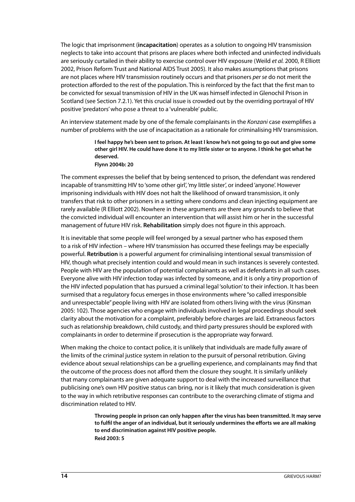The logic that imprisonment (**incapacitation**) operates as a solution to ongoing HIV transmission neglects to take into account that prisons are places where both infected and uninfected individuals are seriously curtailed in their ability to exercise control over HIV exposure (Weild et al. 2000, R Elliott 2002, Prison Reform Trust and National AIDS Trust 2005). It also makes assumptions that prisons are not places where HIV transmission routinely occurs and that prisoners per se do not merit the protection afforded to the rest of the population. This is reinforced by the fact that the first man to be convicted for sexual transmission of HIV in the UK was himself infected in Glenochil Prison in Scotland (see Section 7.2.1). Yet this crucial issue is crowded out by the overriding portrayal of HIV positive 'predators' who pose a threat to a 'vulnerable' public.

An interview statement made by one of the female complainants in the Konzani case exemplifies a number of problems with the use of incapacitation as a rationale for criminalising HIV transmission.

> **I feel happy he's been sent to prison. At least I know he's not going to go out and give some other girl HIV. He could have done it to my little sister or to anyone. I think he got what he deserved. Flynn 2004b: 20**

The comment expresses the belief that by being sentenced to prison, the defendant was rendered incapable of transmitting HIV to 'some other girl', 'my little sister', or indeed 'anyone'. However imprisoning individuals with HIV does not halt the likelihood of onward transmission, it only transfers that risk to other prisoners in a setting where condoms and clean injecting equipment are rarely available (R Elliott 2002). Nowhere in these arguments are there any grounds to believe that the convicted individual will encounter an intervention that will assist him or her in the successful management of future HIV risk. **Rehabilitation** simply does not figure in this approach.

It is inevitable that some people will feel wronged by a sexual partner who has exposed them to a risk of HIV infection – where HIV transmission has occurred these feelings may be especially powerful. **Retribution** is a powerful argument for criminalising intentional sexual transmission of HIV, though what precisely intention could and would mean in such instances is severely contested. People with HIV are the population of potential complainants as well as defendants in all such cases. Everyone alive with HIV infection today was infected by someone, and it is only a tiny proportion of the HIV infected population that has pursued a criminal legal 'solution' to their infection. It has been surmised that a regulatory focus emerges in those environments where "so called irresponsible and unrespectable" people living with HIV are isolated from others living with the virus (Kinsman 2005: 102). Those agencies who engage with individuals involved in legal proceedings should seek clarity about the motivation for a complaint, preferably before charges are laid. Extraneous factors such as relationship breakdown, child custody, and third party pressures should be explored with complainants in order to determine if prosecution is the appropriate way forward.

When making the choice to contact police, it is unlikely that individuals are made fully aware of the limits of the criminal justice system in relation to the pursuit of personal retribution. Giving evidence about sexual relationships can be a gruelling experience, and complainants may find that the outcome of the process does not afford them the closure they sought. It is similarly unlikely that many complainants are given adequate support to deal with the increased surveillance that publicising one's own HIV positive status can bring, nor is it likely that much consideration is given to the way in which retributive responses can contribute to the overarching climate of stigma and discrimination related to HIV.

> **Throwing people in prison can only happen after the virus has been transmitted. It may serve to fulfil the anger of an individual, but it seriously undermines the efforts we are all making to end discrimination against HIV positive people. Reid 2003: 5**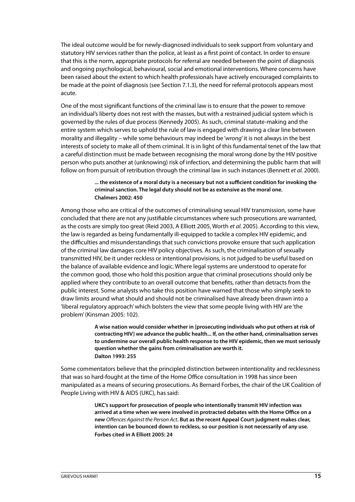The ideal outcome would be for newly-diagnosed individuals to seek support from voluntary and statutory HIV services rather than the police, at least as a first point of contact. In order to ensure that this is the norm, appropriate protocols for referral are needed between the point of diagnosis and ongoing psychological, behavioural, social and emotional interventions. Where concerns have been raised about the extent to which health professionals have actively encouraged complaints to be made at the point of diagnosis (see Section 7.1.3), the need for referral protocols appears most acute.

One of the most significant functions of the criminal law is to ensure that the power to remove an individual's liberty does not rest with the masses, but with a restrained judicial system which is governed by the rules of due process (Kennedy 2005). As such, criminal statute-making and the entire system which serves to uphold the rule of law is engaged with drawing a clear line between morality and illegality – while some behaviours may indeed be 'wrong' it is not always in the best interests of society to make all of them criminal. It is in light of this fundamental tenet of the law that a careful distinction must be made between recognising the moral wrong done by the HIV positive person who puts another at (unknowing) risk of infection, and determining the public harm that will follow on from pursuit of retribution through the criminal law in such instances (Bennett et al. 2000).

#### **... the existence of a moral duty is a necessary but not a sufficient condition for invoking the criminal sanction. The legal duty should not be as extensive as the moral one. Chalmers 2002: 450**

Among those who are critical of the outcomes of criminalising sexual HIV transmission, some have concluded that there are not any justifiable circumstances where such prosecutions are warranted, as the costs are simply too great (Reid 2003, A Elliott 2005, Worth et al. 2005). According to this view, the law is regarded as being fundamentally ill-equipped to tackle a complex HIV epidemic, and the difficulties and misunderstandings that such convictions provoke ensure that such application of the criminal law damages core HIV policy objectives. As such, the criminalisation of sexually transmitted HIV, be it under reckless or intentional provisions, is not judged to be useful based on the balance of available evidence and logic. Where legal systems are understood to operate for the common good, those who hold this position argue that criminal prosecutions should only be applied where they contribute to an overall outcome that benefits, rather than detracts from the public interest. Some analysts who take this position have warned that those who simply seek to draw limits around what should and should not be criminalised have already been drawn into a 'liberal regulatory approach' which bolsters the view that some people living with HIV are 'the problem' (Kinsman 2005: 102).

> **A wise nation would consider whether in [prosecuting individuals who put others at risk of contracting HIV] we advance the public health... If, on the other hand, criminalisation serves to undermine our overall public health response to the HIV epidemic, then we must seriously question whether the gains from criminalisation are worth it. Dalton 1993: 255**

Some commentators believe that the principled distinction between intentionality and recklessness that was so hard-fought at the time of the Home Office consultation in 1998 has since been manipulated as a means of securing prosecutions. As Bernard Forbes, the chair of the UK Coalition of People Living with HIV & AIDS (UKC), has said:

> **UKC's support for prosecution of people who intentionally transmit HIV infection was arrived at a time when we were involved in protracted debates with the Home Office on a new** Offences Against the Person Act**. But as the recent Appeal Court judgment makes clear, intention can be bounced down to reckless, so our position is not necessarily of any use. Forbes cited in A Elliott 2005: 24**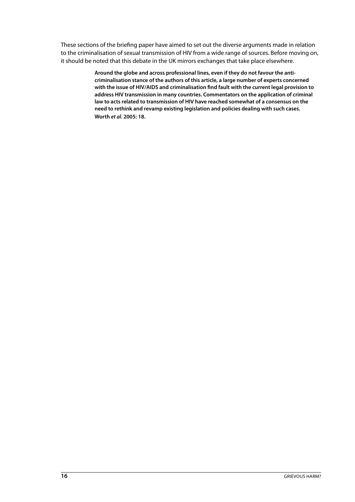These sections of the briefing paper have aimed to set out the diverse arguments made in relation to the criminalisation of sexual transmission of HIV from a wide range of sources. Before moving on, it should be noted that this debate in the UK mirrors exchanges that take place elsewhere.

> **Around the globe and across professional lines, even if they do not favour the anticriminalisation stance of the authors of this article, a large number of experts concerned with the issue of HIV/AIDS and criminalisation find fault with the current legal provision to address HIV transmission in many countries. Commentators on the application of criminal law to acts related to transmission of HIV have reached somewhat of a consensus on the need to rethink and revamp existing legislation and policies dealing with such cases. Worth et al. 2005: 18.**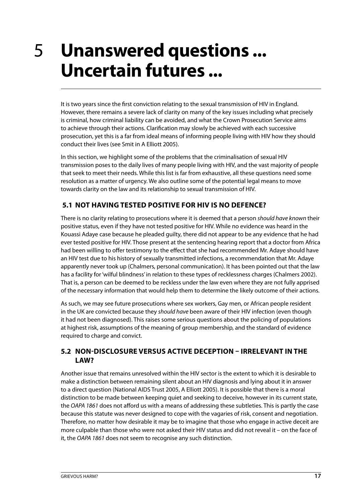## <span id="page-20-0"></span>5 **Unanswered questions ... Uncertain futures ...**

It is two years since the first conviction relating to the sexual transmission of HIV in England. However, there remains a severe lack of clarity on many of the key issues including what precisely is criminal, how criminal liability can be avoided, and what the Crown Prosecution Service aims to achieve through their actions. Clarification may slowly be achieved with each successive prosecution, yet this is a far from ideal means of informing people living with HIV how they should conduct their lives (see Smit in A Elliott 2005).

In this section, we highlight some of the problems that the criminalisation of sexual HIV transmission poses to the daily lives of many people living with HIV, and the vast majority of people that seek to meet their needs. While this list is far from exhaustive, all these questions need some resolution as a matter of urgency. We also outline some of the potential legal means to move towards clarity on the law and its relationship to sexual transmission of HIV.

#### **5.1 NOT HAVING TESTED POSITIVE FOR HIV IS NO DEFENCE?**

There is no clarity relating to prosecutions where it is deemed that a person should have known their positive status, even if they have not tested positive for HIV. While no evidence was heard in the Kouassi Adaye case because he pleaded guilty, there did not appear to be any evidence that he had ever tested positive for HIV. Those present at the sentencing hearing report that a doctor from Africa had been willing to offer testimony to the effect that she had recommended Mr. Adaye should have an HIV test due to his history of sexually transmitted infections, a recommendation that Mr. Adaye apparently never took up (Chalmers, personal communication). It has been pointed out that the law has a facility for 'wilful blindness' in relation to these types of recklessness charges (Chalmers 2002). That is, a person can be deemed to be reckless under the law even where they are not fully apprised of the necessary information that would help them to determine the likely outcome of their actions.

As such, we may see future prosecutions where sex workers, Gay men, or African people resident in the UK are convicted because they should have been aware of their HIV infection (even though it had not been diagnosed). This raises some serious questions about the policing of populations at highest risk, assumptions of the meaning of group membership, and the standard of evidence required to charge and convict.

#### **5.2 NON-DISCLOSURE VERSUS ACTIVE DECEPTION – IRRELEVANT IN THE LAW?**

Another issue that remains unresolved within the HIV sector is the extent to which it is desirable to make a distinction between remaining silent about an HIV diagnosis and lying about it in answer to a direct question (National AIDS Trust 2005, A Elliott 2005). It is possible that there is a moral distinction to be made between keeping quiet and seeking to deceive, however in its current state, the OAPA 1861 does not afford us with a means of addressing these subtleties. This is partly the case because this statute was never designed to cope with the vagaries of risk, consent and negotiation. Therefore, no matter how desirable it may be to imagine that those who engage in active deceit are more culpable than those who were not asked their HIV status and did not reveal it – on the face of it, the OAPA 1861 does not seem to recognise any such distinction.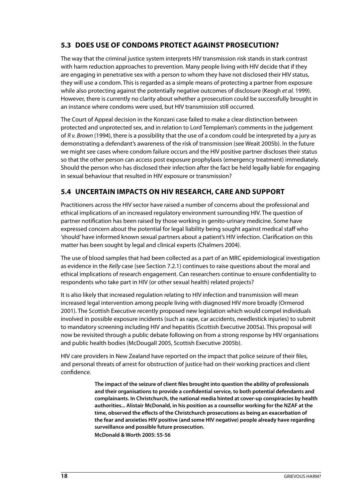#### <span id="page-21-0"></span>**5.3 DOES USE OF CONDOMS PROTECT AGAINST PROSECUTION?**

The way that the criminal justice system interprets HIV transmission risk stands in stark contrast with harm reduction approaches to prevention. Many people living with HIV decide that if they are engaging in penetrative sex with a person to whom they have not disclosed their HIV status, they will use a condom. This is regarded as a simple means of protecting a partner from exposure while also protecting against the potentially negative outcomes of disclosure (Keogh et al. 1999). However, there is currently no clarity about whether a prosecution could be successfully brought in an instance where condoms were used, but HIV transmission still occurred.

The Court of Appeal decision in the Konzani case failed to make a clear distinction between protected and unprotected sex, and in relation to Lord Templeman's comments in the judgement of R v. Brown (1994), there is a possibility that the use of a condom could be interpreted by a jury as demonstrating a defendant's awareness of the risk of transmission (see Weait 2005b). In the future we might see cases where condom failure occurs and the HIV positive partner discloses their status so that the other person can access post exposure prophylaxis (emergency treatment) immediately. Should the person who has disclosed their infection after the fact be held legally liable for engaging in sexual behaviour that resulted in HIV exposure or transmission?

#### **5.4 UNCERTAIN IMPACTS ON HIV RESEARCH, CARE AND SUPPORT**

Practitioners across the HIV sector have raised a number of concerns about the professional and ethical implications of an increased regulatory environment surrounding HIV. The question of partner notification has been raised by those working in genito-urinary medicine. Some have expressed concern about the potential for legal liability being sought against medical staff who 'should' have informed known sexual partners about a patient's HIV infection. Clarification on this matter has been sought by legal and clinical experts (Chalmers 2004).

The use of blood samples that had been collected as a part of an MRC epidemiological investigation as evidence in the Kelly case (see Section 7.2.1) continues to raise questions about the moral and ethical implications of research engagement. Can researchers continue to ensure confidentiality to respondents who take part in HIV (or other sexual health) related projects?

It is also likely that increased regulation relating to HIV infection and transmission will mean increased legal intervention among people living with diagnosed HIV more broadly (Ormerod 2001). The Scottish Executive recently proposed new legislation which would compel individuals involved in possible exposure incidents (such as rape, car accidents, needlestick injuries) to submit to mandatory screening including HIV and hepatitis (Scottish Executive 2005a). This proposal will now be revisited through a public debate following on from a strong response by HIV organisations and public health bodies (McDougall 2005, Scottish Executive 2005b).

HIV care providers in New Zealand have reported on the impact that police seizure of their files, and personal threats of arrest for obstruction of justice had on their working practices and client confidence.

> **The impact of the seizure of client files brought into question the ability of professionals and their organisations to provide a confidential service, to both potential defendants and complainants. In Christchurch, the national media hinted at cover-up conspiracies by health authorities... Alistair McDonald, in his position as a counsellor working for the NZAF at the time, observed the effects of the Christchurch prosecutions as being an exacerbation of the fear and anxieties HIV positive (and some HIV negative) people already have regarding surveillance and possible future prosecution. McDonald & Worth 2005: 55-56**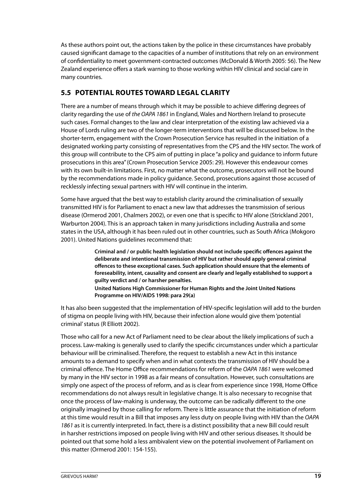<span id="page-22-0"></span>As these authors point out, the actions taken by the police in these circumstances have probably caused significant damage to the capacities of a number of institutions that rely on an environment of confidentiality to meet government-contracted outcomes (McDonald & Worth 2005: 56). The New Zealand experience offers a stark warning to those working within HIV clinical and social care in many countries.

#### **5.5 POTENTIAL ROUTES TOWARD LEGAL CLARITY**

There are a number of means through which it may be possible to achieve differing degrees of clarity regarding the use of the OAPA 1861 in England, Wales and Northern Ireland to prosecute such cases. Formal changes to the law and clear interpretation of the existing law achieved via a House of Lords ruling are two of the longer-term interventions that will be discussed below. In the shorter-term, engagement with the Crown Prosecution Service has resulted in the initiation of a designated working party consisting of representatives from the CPS and the HIV sector. The work of this group will contribute to the CPS aim of putting in place "a policy and guidance to inform future prosecutions in this area" (Crown Prosecution Service 2005: 29). However this endeavour comes with its own built-in limitations. First, no matter what the outcome, prosecutors will not be bound by the recommendations made in policy guidance. Second, prosecutions against those accused of recklessly infecting sexual partners with HIV will continue in the interim.

Some have argued that the best way to establish clarity around the criminalisation of sexually transmitted HIV is for Parliament to enact a new law that addresses the transmission of serious disease (Ormerod 2001, Chalmers 2002), or even one that is specific to HIV alone (Strickland 2001, Warburton 2004). This is an approach taken in many jurisdictions including Australia and some states in the USA, although it has been ruled out in other countries, such as South Africa (Mokgoro 2001). United Nations guidelines recommend that:

> **Criminal and / or public health legislation should not include specific offences against the deliberate and intentional transmission of HIV but rather should apply general criminal offences to these exceptional cases. Such application should ensure that the elements of foreseability, intent, causality and consent are clearly and legally established to support a guilty verdict and / or harsher penalties.**

**United Nations High Commissioner for Human Rights and the Joint United Nations Programme on HIV/AIDS 1998: para 29(a)**

It has also been suggested that the implementation of HIV-specific legislation will add to the burden of stigma on people living with HIV, because their infection alone would give them 'potential criminal' status (R Elliott 2002).

Those who call for a new Act of Parliament need to be clear about the likely implications of such a process. Law-making is generally used to clarify the specific circumstances under which a particular behaviour will be criminalised. Therefore, the request to establish a new Act in this instance amounts to a demand to specify when and in what contexts the transmission of HIV should be a criminal offence. The Home Office recommendations for reform of the OAPA 1861 were welcomed by many in the HIV sector in 1998 as a fair means of consultation. However, such consultations are simply one aspect of the process of reform, and as is clear from experience since 1998, Home Office recommendations do not always result in legislative change. It is also necessary to recognise that once the process of law-making is underway, the outcome can be radically different to the one originally imagined by those calling for reform. There is little assurance that the initiation of reform at this time would result in a Bill that imposes any less duty on people living with HIV than the OAPA 1861 as it is currently interpreted. In fact, there is a distinct possibility that a new Bill could result in harsher restrictions imposed on people living with HIV and other serious diseases. It should be pointed out that some hold a less ambivalent view on the potential involvement of Parliament on this matter (Ormerod 2001: 154-155).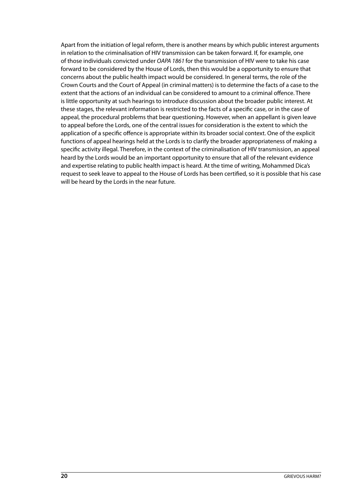Apart from the initiation of legal reform, there is another means by which public interest arguments in relation to the criminalisation of HIV transmission can be taken forward. If, for example, one of those individuals convicted under OAPA 1861 for the transmission of HIV were to take his case forward to be considered by the House of Lords, then this would be a opportunity to ensure that concerns about the public health impact would be considered. In general terms, the role of the Crown Courts and the Court of Appeal (in criminal matters) is to determine the facts of a case to the extent that the actions of an individual can be considered to amount to a criminal offence. There is little opportunity at such hearings to introduce discussion about the broader public interest. At these stages, the relevant information is restricted to the facts of a specific case, or in the case of appeal, the procedural problems that bear questioning. However, when an appellant is given leave to appeal before the Lords, one of the central issues for consideration is the extent to which the application of a specific offence is appropriate within its broader social context. One of the explicit functions of appeal hearings held at the Lords is to clarify the broader appropriateness of making a specific activity illegal. Therefore, in the context of the criminalisation of HIV transmission, an appeal heard by the Lords would be an important opportunity to ensure that all of the relevant evidence and expertise relating to public health impact is heard. At the time of writing, Mohammed Dica's request to seek leave to appeal to the House of Lords has been certified, so it is possible that his case will be heard by the Lords in the near future.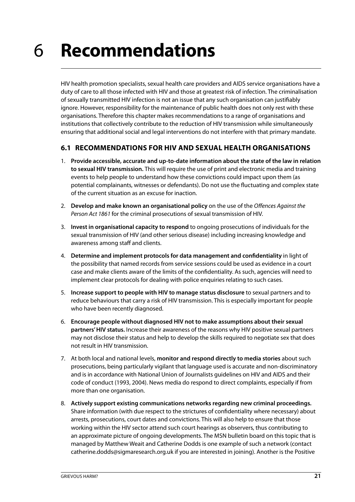# <span id="page-24-0"></span>6 **Recommendations**

HIV health promotion specialists, sexual health care providers and AIDS service organisations have a duty of care to all those infected with HIV and those at greatest risk of infection. The criminalisation of sexually transmitted HIV infection is not an issue that any such organisation can justifiably ignore. However, responsibility for the maintenance of public health does not only rest with these organisations. Therefore this chapter makes recommendations to a range of organisations and institutions that collectively contribute to the reduction of HIV transmission while simultaneously ensuring that additional social and legal interventions do not interfere with that primary mandate.

#### **6.1 RECOMMENDATIONS FOR HIV AND SEXUAL HEALTH ORGANISATIONS**

- 1. **Provide accessible, accurate and up-to-date information about the state of the law in relation to sexual HIV transmission.** This will require the use of print and electronic media and training events to help people to understand how these convictions could impact upon them (as potential complainants, witnesses or defendants). Do not use the fluctuating and complex state of the current situation as an excuse for inaction.
- 2. **Develop and make known an organisational policy** on the use of the Offences Against the Person Act 1861 for the criminal prosecutions of sexual transmission of HIV.
- 3. **Invest in organisational capacity to respond** to ongoing prosecutions of individuals for the sexual transmission of HIV (and other serious disease) including increasing knowledge and awareness among staff and clients.
- 4. **Determine and implement protocols for data management and confidentiality** in light of the possibility that named records from service sessions could be used as evidence in a court case and make clients aware of the limits of the confidentiality. As such, agencies will need to implement clear protocols for dealing with police enquiries relating to such cases.
- 5. **Increase support to people with HIV to manage status disclosure** to sexual partners and to reduce behaviours that carry a risk of HIV transmission. This is especially important for people who have been recently diagnosed.
- 6. **Encourage people without diagnosed HIV not to make assumptions about their sexual partners' HIV status.** Increase their awareness of the reasons why HIV positive sexual partners may not disclose their status and help to develop the skills required to negotiate sex that does not result in HIV transmission.
- 7. At both local and national levels, **monitor and respond directly to media stories** about such prosecutions, being particularly vigilant that language used is accurate and non-discriminatory and is in accordance with National Union of Journalists guidelines on HIV and AIDS and their code of conduct (1993, 2004). News media do respond to direct complaints, especially if from more than one organisation.
- 8. **Actively support existing communications networks regarding new criminal proceedings.** Share information (with due respect to the strictures of confidentiality where necessary) about arrests, prosecutions, court dates and convictions. This will also help to ensure that those working within the HIV sector attend such court hearings as observers, thus contributing to an approximate picture of ongoing developments. The MSN bulletin board on this topic that is managed by Matthew Weait and Catherine Dodds is one example of such a network (contact catherine.dodds@sigmaresearch.org.uk if you are interested in joining). Another is the Positive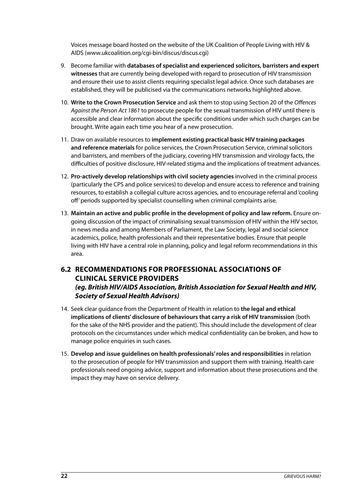<span id="page-25-0"></span>Voices message board hosted on the website of the UK Coalition of People Living with HIV & AIDS (www.ukcoalition.org/cgi-bin/discus/discus.cgi)

- 9. Become familiar with **databases of specialist and experienced solicitors, barristers and expert witnesses** that are currently being developed with regard to prosecution of HIV transmission and ensure their use to assist clients requiring specialist legal advice. Once such databases are established, they will be publicised via the communications networks highlighted above.
- 10. **Write to the Crown Prosecution Service** and ask them to stop using Section 20 of the Offences Against the Person Act 1861 to prosecute people for the sexual transmission of HIV until there is accessible and clear information about the specific conditions under which such charges can be brought. Write again each time you hear of a new prosecution.
- 11. Draw on available resources to **implement existing practical basic HIV training packages and reference materials** for police services, the Crown Prosecution Service, criminal solicitors and barristers, and members of the judiciary, covering HIV transmission and virology facts, the difficulties of positive disclosure, HIV-related stigma and the implications of treatment advances.
- 12. **Pro-actively develop relationships with civil society agencies** involved in the criminal process (particularly the CPS and police services) to develop and ensure access to reference and training resources, to establish a collegial culture across agencies, and to encourage referral and 'cooling off' periods supported by specialist counselling when criminal complaints arise.
- 13. **Maintain an active and public profile in the development of policy and law reform.** Ensure ongoing discussion of the impact of criminalising sexual transmission of HIV within the HIV sector, in news media and among Members of Parliament, the Law Society, legal and social science academics, police, health professionals and their representative bodies. Ensure that people living with HIV have a central role in planning, policy and legal reform recommendations in this area.

#### **6.2 RECOMMENDATIONS FOR PROFESSIONAL ASSOCIATIONS OF CLINICAL SERVICE PROVIDERS (eg. British HIV/AIDS Association, British Association for Sexual Health and HIV, Society of Sexual Health Advisors)**

- 14. Seek clear guidance from the Department of Health in relation to **the legal and ethical implications of clients' disclosure of behaviours that carry a risk of HIV transmission** (both for the sake of the NHS provider and the patient). This should include the development of clear protocols on the circumstances under which medical confidentiality can be broken, and how to manage police enquiries in such cases.
- 15. **Develop and issue guidelines on health professionals' roles and responsibilities** in relation to the prosecution of people for HIV transmission and support them with training. Health care professionals need ongoing advice, support and information about these prosecutions and the impact they may have on service delivery.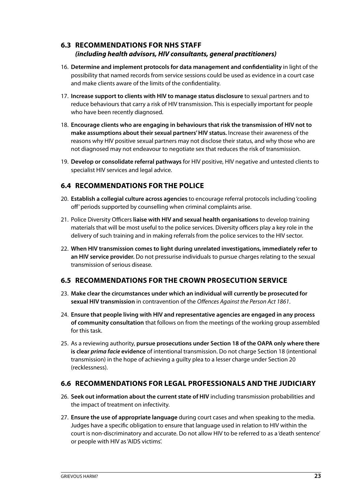#### <span id="page-26-0"></span>**6.3 RECOMMENDATIONS FOR NHS STAFF (including health advisors, HIV consultants, general practitioners)**

- 16. **Determine and implement protocols for data management and confidentiality** in light of the possibility that named records from service sessions could be used as evidence in a court case and make clients aware of the limits of the confidentiality.
- 17. **Increase support to clients with HIV to manage status disclosure** to sexual partners and to reduce behaviours that carry a risk of HIV transmission. This is especially important for people who have been recently diagnosed.
- 18. **Encourage clients who are engaging in behaviours that risk the transmission of HIV not to make assumptions about their sexual partners' HIV status.** Increase their awareness of the reasons why HIV positive sexual partners may not disclose their status, and why those who are not diagnosed may not endeavour to negotiate sex that reduces the risk of transmission.
- 19. **Develop or consolidate referral pathways** for HIV positive, HIV negative and untested clients to specialist HIV services and legal advice.

#### **6.4 RECOMMENDATIONS FOR THE POLICE**

- 20. **Establish a collegial culture across agencies** to encourage referral protocols including 'cooling off' periods supported by counselling when criminal complaints arise.
- 21. Police Diversity Officers **liaise with HIV and sexual health organisations** to develop training materials that will be most useful to the police services. Diversity officers play a key role in the delivery of such training and in making referrals from the police services to the HIV sector.
- 22. **When HIV transmission comes to light during unrelated investigations, immediately refer to an HIV service provider.** Do not pressurise individuals to pursue charges relating to the sexual transmission of serious disease.

#### **6.5 RECOMMENDATIONS FOR THE CROWN PROSECUTION SERVICE**

- 23. **Make clear the circumstances under which an individual will currently be prosecuted for sexual HIV transmission** in contravention of the Offences Against the Person Act 1861.
- 24. **Ensure that people living with HIV and representative agencies are engaged in any process of community consultation** that follows on from the meetings of the working group assembled for this task.
- 25. As a reviewing authority, **pursue prosecutions under Section 18 of the OAPA only where there is clear prima facie evidence** of intentional transmission. Do not charge Section 18 (intentional transmission) in the hope of achieving a guilty plea to a lesser charge under Section 20 (recklessness).

#### **6.6 RECOMMENDATIONS FOR LEGAL PROFESSIONALS AND THE JUDICIARY**

- 26. **Seek out information about the current state of HIV** including transmission probabilities and the impact of treatment on infectivity.
- 27. **Ensure the use of appropriate language** during court cases and when speaking to the media. Judges have a specific obligation to ensure that language used in relation to HIV within the court is non-discriminatory and accurate. Do not allow HIV to be referred to as a 'death sentence' or people with HIV as 'AIDS victims'.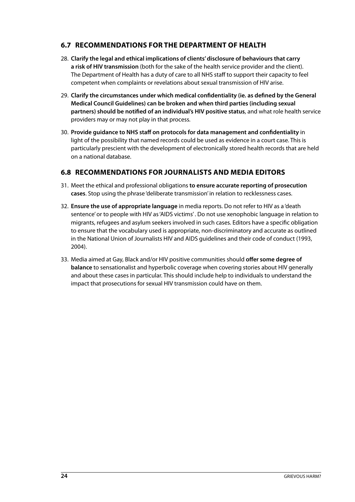#### <span id="page-27-0"></span>**6.7 RECOMMENDATIONS FOR THE DEPARTMENT OF HEALTH**

- 28. **Clarify the legal and ethical implications of clients' disclosure of behaviours that carry a risk of HIV transmission** (both for the sake of the health service provider and the client). The Department of Health has a duty of care to all NHS staff to support their capacity to feel competent when complaints or revelations about sexual transmission of HIV arise.
- 29. **Clarify the circumstances under which medical confidentiality (ie. as defined by the General Medical Council Guidelines) can be broken and when third parties (including sexual partners) should be notified of an individual's HIV positive status**, and what role health service providers may or may not play in that process.
- 30. **Provide guidance to NHS staff on protocols for data management and confidentiality** in light of the possibility that named records could be used as evidence in a court case. This is particularly prescient with the development of electronically stored health records that are held on a national database.

#### **6.8 RECOMMENDATIONS FOR JOURNALISTS AND MEDIA EDITORS**

- 31. Meet the ethical and professional obligations **to ensure accurate reporting of prosecution cases**. Stop using the phrase 'deliberate transmission' in relation to recklessness cases.
- 32. **Ensure the use of appropriate language** in media reports. Do not refer to HIV as a 'death sentence' or to people with HIV as 'AIDS victims' . Do not use xenophobic language in relation to migrants, refugees and asylum seekers involved in such cases. Editors have a specific obligation to ensure that the vocabulary used is appropriate, non-discriminatory and accurate as outlined in the National Union of Journalists HIV and AIDS guidelines and their code of conduct (1993, 2004).
- 33. Media aimed at Gay, Black and/or HIV positive communities should **offer some degree of balance** to sensationalist and hyperbolic coverage when covering stories about HIV generally and about these cases in particular. This should include help to individuals to understand the impact that prosecutions for sexual HIV transmission could have on them.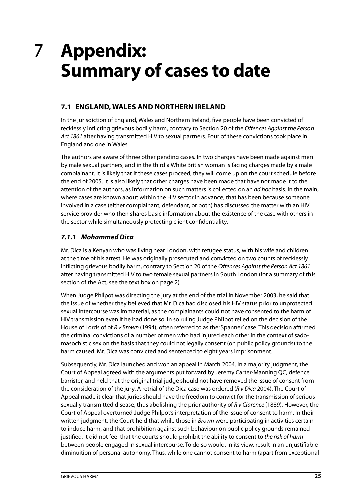### <span id="page-28-0"></span>**Appendix: Summary of cases to date** 7

#### **7.1 ENGLAND, WALES AND NORTHERN IRELAND**

In the jurisdiction of England, Wales and Northern Ireland, five people have been convicted of recklessly inflicting grievous bodily harm, contrary to Section 20 of the Offences Against the Person Act 1861 after having transmitted HIV to sexual partners. Four of these convictions took place in England and one in Wales.

The authors are aware of three other pending cases. In two charges have been made against men by male sexual partners, and in the third a White British woman is facing charges made by a male complainant. It is likely that if these cases proceed, they will come up on the court schedule before the end of 2005. It is also likely that other charges have been made that have not made it to the attention of the authors, as information on such matters is collected on an *ad hoc* basis. In the main, where cases are known about within the HIV sector in advance, that has been because someone involved in a case (either complainant, defendant, or both) has discussed the matter with an HIV service provider who then shares basic information about the existence of the case with others in the sector while simultaneously protecting client confidentiality.

#### **7.1.1 Mohammed Dica**

Mr. Dica is a Kenyan who was living near London, with refugee status, with his wife and children at the time of his arrest. He was originally prosecuted and convicted on two counts of recklessly inflicting grievous bodily harm, contrary to Section 20 of the Offences Against the Person Act 1861 after having transmitted HIV to two female sexual partners in South London (for a summary of this section of the Act, see the text box on page 2).

When Judge Philpot was directing the jury at the end of the trial in November 2003, he said that the issue of whether they believed that Mr. Dica had disclosed his HIV status prior to unprotected sexual intercourse was immaterial, as the complainants could not have consented to the harm of HIV transmission even if he had done so. In so ruling Judge Philpot relied on the decision of the House of Lords of of R v Brown (1994), often referred to as the 'Spanner' case. This decision affirmed the criminal convictions of a number of men who had injured each other in the context of sadomasochistic sex on the basis that they could not legally consent (on public policy grounds) to the harm caused. Mr. Dica was convicted and sentenced to eight years imprisonment.

Subsequently, Mr. Dica launched and won an appeal in March 2004. In a majority judgment, the Court of Appeal agreed with the arguments put forward by Jeremy Carter-Manning QC, defence barrister, and held that the original trial judge should not have removed the issue of consent from the consideration of the jury. A retrial of the Dica case was ordered (R v Dica 2004). The Court of Appeal made it clear that juries should have the freedom to convict for the transmission of serious sexually transmitted disease, thus abolishing the prior authority of R v Clarence (1889). However, the Court of Appeal overturned Judge Philpot's interpretation of the issue of consent to harm. In their written judgment, the Court held that while those in *Brown* were participating in activities certain to induce harm, and that prohibition against such behaviour on public policy grounds remained justified, it did not feel that the courts should prohibit the ability to consent to the risk of harm between people engaged in sexual intercourse. To do so would, in its view, result in an unjustifiable diminuition of personal autonomy. Thus, while one cannot consent to harm (apart from exceptional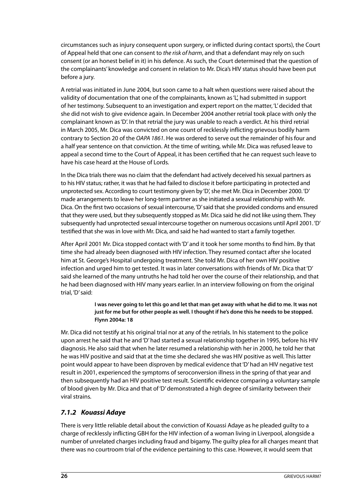circumstances such as injury consequent upon surgery, or inflicted during contact sports), the Court of Appeal held that one can consent to the risk of harm, and that a defendant may rely on such consent (or an honest belief in it) in his defence. As such, the Court determined that the question of the complainants' knowledge and consent in relation to Mr. Dica's HIV status should have been put before a jury.

A retrial was initiated in June 2004, but soon came to a halt when questions were raised about the validity of documentation that one of the complainants, known as 'L', had submitted in support of her testimony. Subsequent to an investigation and expert report on the matter, 'L' decided that she did not wish to give evidence again. In December 2004 another retrial took place with only the complainant known as 'D'. In that retrial the jury was unable to reach a verdict. At his third retrial in March 2005, Mr. Dica was convicted on one count of recklessly inflicting grievous bodily harm contrary to Section 20 of the OAPA 1861. He was ordered to serve out the remainder of his four and a half year sentence on that conviction. At the time of writing, while Mr. Dica was refused leave to appeal a second time to the Court of Appeal, it has been certified that he can request such leave to have his case heard at the House of Lords.

In the Dica trials there was no claim that the defendant had actively deceived his sexual partners as to his HIV status; rather, it was that he had failed to disclose it before participating in protected and unprotected sex. According to court testimony given by 'D', she met Mr. Dica in December 2000. 'D' made arrangements to leave her long-term partner as she initiated a sexual relationship with Mr. Dica. On the first two occasions of sexual intercourse, 'D' said that she provided condoms and ensured that they were used, but they subsequently stopped as Mr. Dica said he did not like using them. They subsequently had unprotected sexual intercourse together on numerous occasions until April 2001. 'D' testified that she was in love with Mr. Dica, and said he had wanted to start a family together.

After April 2001 Mr. Dica stopped contact with 'D' and it took her some months to find him. By that time she had already been diagnosed with HIV infection. They resumed contact after she located him at St. George's Hospital undergoing treatment. She told Mr. Dica of her own HIV positive infection and urged him to get tested. It was in later conversations with friends of Mr. Dica that 'D' said she learned of the many untruths he had told her over the course of their relationship, and that he had been diagnosed with HIV many years earlier. In an interview following on from the original trial, 'D' said:

> **I was never going to let this go and let that man get away with what he did to me. It was not just for me but for other people as well. I thought if he's done this he needs to be stopped. Flynn 2004a: 18**

Mr. Dica did not testify at his original trial nor at any of the retrials. In his statement to the police upon arrest he said that he and 'D' had started a sexual relationship together in 1995, before his HIV diagnosis. He also said that when he later resumed a relationship with her in 2000, he told her that he was HIV positive and said that at the time she declared she was HIV positive as well. This latter point would appear to have been disproven by medical evidence that 'D' had an HIV negative test result in 2001, experienced the symptoms of seroconversion illness in the spring of that year and then subsequently had an HIV positive test result. Scientific evidence comparing a voluntary sample of blood given by Mr. Dica and that of 'D' demonstrated a high degree of similarity between their viral strains.

#### **7.1.2 Kouassi Adaye**

There is very little reliable detail about the conviction of Kouassi Adaye as he pleaded guilty to a charge of recklessly inflicting GBH for the HIV infection of a woman living in Liverpool, alongside a number of unrelated charges including fraud and bigamy. The guilty plea for all charges meant that there was no courtroom trial of the evidence pertaining to this case. However, it would seem that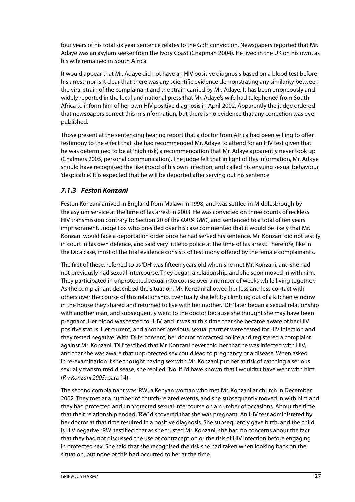four years of his total six year sentence relates to the GBH conviction. Newspapers reported that Mr. Adaye was an asylum seeker from the Ivory Coast (Chapman 2004). He lived in the UK on his own, as his wife remained in South Africa.

It would appear that Mr. Adaye did not have an HIV positive diagnosis based on a blood test before his arrest, nor is it clear that there was any scientific evidence demonstrating any similarity between the viral strain of the complainant and the strain carried by Mr. Adaye. It has been erroneously and widely reported in the local and national press that Mr. Adaye's wife had telephoned from South Africa to inform him of her own HIV positive diagnosis in April 2002. Apparently the judge ordered that newspapers correct this misinformation, but there is no evidence that any correction was ever published.

Those present at the sentencing hearing report that a doctor from Africa had been willing to offer testimony to the effect that she had recommended Mr. Adaye to attend for an HIV test given that he was determined to be at 'high risk', a recommendation that Mr. Adaye apparently never took up (Chalmers 2005, personal communication). The judge felt that in light of this information, Mr. Adaye should have recognised the likelihood of his own infection, and called his ensuing sexual behaviour 'despicable'. It is expected that he will be deported after serving out his sentence.

#### **7.1.3 Feston Konzani**

Feston Konzani arrived in England from Malawi in 1998, and was settled in Middlesbrough by the asylum service at the time of his arrest in 2003. He was convicted on three counts of reckless HIV transmission contrary to Section 20 of the OAPA 1861, and sentenced to a total of ten years imprisonment. Judge Fox who presided over his case commented that it would be likely that Mr. Konzani would face a deportation order once he had served his sentence. Mr. Konzani did not testify in court in his own defence, and said very little to police at the time of his arrest. Therefore, like in the Dica case, most of the trial evidence consists of testimony offered by the female complainants.

The first of these, referred to as 'DH' was fifteen years old when she met Mr. Konzani, and she had not previously had sexual intercourse. They began a relationship and she soon moved in with him. They participated in unprotected sexual intercourse over a number of weeks while living together. As the complainant described the situation, Mr. Konzani allowed her less and less contact with others over the course of this relationship. Eventually she left by climbing out of a kitchen window in the house they shared and returned to live with her mother. 'DH' later began a sexual relationship with another man, and subsequently went to the doctor because she thought she may have been pregnant. Her blood was tested for HIV, and it was at this time that she became aware of her HIV positive status. Her current, and another previous, sexual partner were tested for HIV infection and they tested negative. With 'DH's' consent, her doctor contacted police and registered a complaint against Mr. Konzani. 'DH' testified that Mr. Konzani never told her that he was infected with HIV, and that she was aware that unprotected sex could lead to pregnancy or a disease. When asked in re-examination if she thought having sex with Mr. Konzani put her at risk of catching a serious sexually transmitted disease, she replied: 'No. If I'd have known that I wouldn't have went with him' (R v Konzani 2005: para 14).

The second complainant was 'RW', a Kenyan woman who met Mr. Konzani at church in December 2002. They met at a number of church-related events, and she subsequently moved in with him and they had protected and unprotected sexual intercourse on a number of occasions. About the time that their relationship ended, 'RW' discovered that she was pregnant. An HIV test administered by her doctor at that time resulted in a positive diagnosis. She subsequently gave birth, and the child is HIV negative. 'RW' testified that as she trusted Mr. Konzani, she had no concerns about the fact that they had not discussed the use of contraception or the risk of HIV infection before engaging in protected sex. She said that she recognised the risk she had taken when looking back on the situation, but none of this had occurred to her at the time.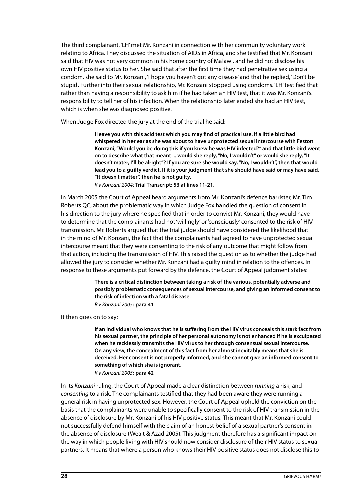The third complainant, 'LH' met Mr. Konzani in connection with her community voluntary work relating to Africa. They discussed the situation of AIDS in Africa, and she testified that Mr. Konzani said that HIV was not very common in his home country of Malawi, and he did not disclose his own HIV positive status to her. She said that after the first time they had penetrative sex using a condom, she said to Mr. Konzani, 'I hope you haven't got any disease' and that he replied, 'Don't be stupid'. Further into their sexual relationship, Mr. Konzani stopped using condoms. 'LH' testified that rather than having a responsibility to ask him if he had taken an HIV test, that it was Mr. Konzani's responsibility to tell her of his infection. When the relationship later ended she had an HIV test, which is when she was diagnosed positive.

When Judge Fox directed the jury at the end of the trial he said:

**I leave you with this acid test which you may find of practical use. If a little bird had whispered in her ear as she was about to have unprotected sexual intercourse with Feston Konzani, "Would you be doing this if you knew he was HIV infected?" and that little bird went on to describe what that meant ... would she reply, "No, I wouldn't" or would she reply, "It doesn't mater, I'll be alright"? If you are sure she would say, "No, I wouldn't", then that would lead you to a guilty verdict. If it is your judgment that she should have said or may have said, "It doesn't matter", then he is not guilty.** 

R v Konzani 2004: **Trial Transcript: 53 at lines 11-21.**

In March 2005 the Court of Appeal heard arguments from Mr. Konzani's defence barrister, Mr. Tim Roberts QC, about the problematic way in which Judge Fox handled the question of consent in his direction to the jury where he specified that in order to convict Mr. Konzani, they would have to determine that the complainants had not 'willingly' or 'consciously' consented to the risk of HIV transmission. Mr. Roberts argued that the trial judge should have considered the likelihood that in the mind of Mr. Konzani, the fact that the complainants had agreed to have unprotected sexual intercourse meant that they were consenting to the risk of any outcome that might follow from that action, including the transmission of HIV. This raised the question as to whether the judge had allowed the jury to consider whether Mr. Konzani had a guilty mind in relation to the offences. In response to these arguments put forward by the defence, the Court of Appeal judgment states:

> **There is a critical distinction between taking a risk of the various, potentially adverse and possibly problematic consequences of sexual intercourse, and giving an informed consent to the risk of infection with a fatal disease.** R v Konzani 2005**: para 41**

It then goes on to say:

**If an individual who knows that he is suffering from the HIV virus conceals this stark fact from his sexual partner, the principle of her personal autonomy is not enhanced if he is exculpated when he recklessly transmits the HIV virus to her through consensual sexual intercourse. On any view, the concealment of this fact from her almost inevitably means that she is deceived. Her consent is not properly informed, and she cannot give an informed consent to something of which she is ignorant.** R v Konzani 2005**: para 42** 

In its Konzani ruling, the Court of Appeal made a clear distinction between running a risk, and consenting to a risk. The complainants testified that they had been aware they were running a general risk in having unprotected sex. However, the Court of Appeal upheld the conviction on the basis that the complainants were unable to specifically consent to the risk of HIV transmission in the absence of disclosure by Mr. Konzani of his HIV positive status. This meant that Mr. Konzani could not successfully defend himself with the claim of an honest belief of a sexual partner's consent in the absence of disclosure (Weait & Azad 2005). This judgment therefore has a significant impact on the way in which people living with HIV should now consider disclosure of their HIV status to sexual partners. It means that where a person who knows their HIV positive status does not disclose this to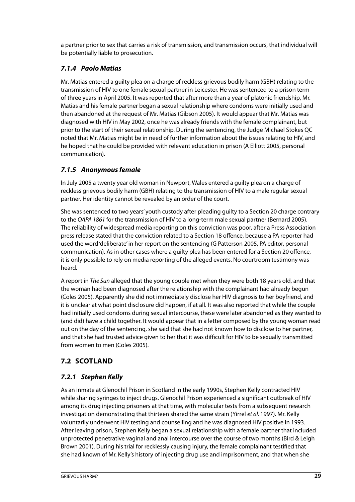<span id="page-32-0"></span>a partner prior to sex that carries a risk of transmission, and transmission occurs, that individual will be potentially liable to prosecution.

#### **7.1.4 Paolo Matias**

Mr. Matias entered a guilty plea on a charge of reckless grievous bodily harm (GBH) relating to the transmission of HIV to one female sexual partner in Leicester. He was sentenced to a prison term of three years in April 2005. It was reported that after more than a year of platonic friendship, Mr. Matias and his female partner began a sexual relationship where condoms were initially used and then abandoned at the request of Mr. Matias (Gibson 2005). It would appear that Mr. Matias was diagnosed with HIV in May 2002, once he was already friends with the female complainant, but prior to the start of their sexual relationship. During the sentencing, the Judge Michael Stokes QC noted that Mr. Matias might be in need of further information about the issues relating to HIV, and he hoped that he could be provided with relevant education in prison (A Elliott 2005, personal communication).

#### **7.1.5 Anonymous female**

In July 2005 a twenty year old woman in Newport, Wales entered a guilty plea on a charge of reckless grievous bodily harm (GBH) relating to the transmission of HIV to a male regular sexual partner. Her identity cannot be revealed by an order of the court.

She was sentenced to two years' youth custody after pleading guilty to a Section 20 charge contrary to the OAPA 1861 for the transmission of HIV to a long-term male sexual partner (Bernard 2005). The reliability of widespread media reporting on this conviction was poor, after a Press Association press release stated that the conviction related to a Section 18 offence, because a PA reporter had used the word 'deliberate' in her report on the sentencing (G Patterson 2005, PA editor, personal communication). As in other cases where a guilty plea has been entered for a Section 20 offence, it is only possible to rely on media reporting of the alleged events. No courtroom testimony was heard.

A report in The Sun alleged that the young couple met when they were both 18 years old, and that the woman had been diagnosed after the relationship with the complainant had already begun (Coles 2005). Apparently she did not immediately disclose her HIV diagnosis to her boyfriend, and it is unclear at what point disclosure did happen, if at all. It was also reported that while the couple had initially used condoms during sexual intercourse, these were later abandoned as they wanted to (and did) have a child together. It would appear that in a letter composed by the young woman read out on the day of the sentencing, she said that she had not known how to disclose to her partner, and that she had trusted advice given to her that it was difficult for HIV to be sexually transmitted from women to men (Coles 2005).

#### **7.2 SCOTLAND**

#### **7.2.1 Stephen Kelly**

As an inmate at Glenochil Prison in Scotland in the early 1990s, Stephen Kelly contracted HIV while sharing syringes to inject drugs. Glenochil Prison experienced a significant outbreak of HIV among its drug injecting prisoners at that time, with molecular tests from a subsequent research investigation demonstrating that thirteen shared the same strain (Yirrel et al. 1997). Mr. Kelly voluntarily underwent HIV testing and counselling and he was diagnosed HIV positive in 1993. After leaving prison, Stephen Kelly began a sexual relationship with a female partner that included unprotected penetrative vaginal and anal intercourse over the course of two months (Bird & Leigh Brown 2001). During his trial for recklessly causing injury, the female complainant testified that she had known of Mr. Kelly's history of injecting drug use and imprisonment, and that when she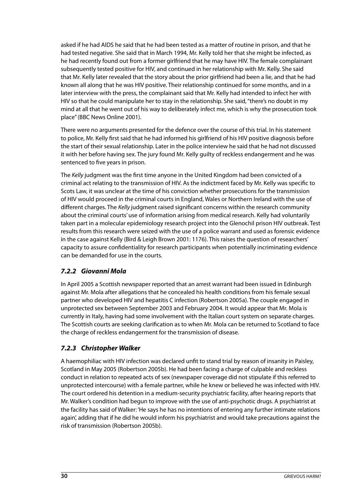asked if he had AIDS he said that he had been tested as a matter of routine in prison, and that he had tested negative. She said that in March 1994, Mr. Kelly told her that she might be infected, as he had recently found out from a former girlfriend that he may have HIV. The female complainant subsequently tested positive for HIV, and continued in her relationship with Mr. Kelly. She said that Mr. Kelly later revealed that the story about the prior girlfriend had been a lie, and that he had known all along that he was HIV positive. Their relationship continued for some months, and in a later interview with the press, the complainant said that Mr. Kelly had intended to infect her with HIV so that he could manipulate her to stay in the relationship. She said, "there's no doubt in my mind at all that he went out of his way to deliberately infect me, which is why the prosecution took place" (BBC News Online 2001).

There were no arguments presented for the defence over the course of this trial. In his statement to police, Mr. Kelly first said that he had informed his girlfriend of his HIV positive diagnosis before the start of their sexual relationship. Later in the police interview he said that he had not discussed it with her before having sex. The jury found Mr. Kelly guilty of reckless endangerment and he was sentenced to five years in prison.

The Kelly judgment was the first time anyone in the United Kingdom had been convicted of a criminal act relating to the transmission of HIV. As the indictment faced by Mr. Kelly was specific to Scots Law, it was unclear at the time of his conviction whether prosecutions for the transmission of HIV would proceed in the criminal courts in England, Wales or Northern Ireland with the use of different charges. The Kelly judgment raised significant concerns within the research community about the criminal courts' use of information arising from medical research. Kelly had voluntarily taken part in a molecular epidemiology research project into the Glenochil prison HIV outbreak. Test results from this research were seized with the use of a police warrant and used as forensic evidence in the case against Kelly (Bird & Leigh Brown 2001: 1176). This raises the question of researchers' capacity to assure confidentiality for research participants when potentially incriminating evidence can be demanded for use in the courts.

#### **7.2.2 Giovanni Mola**

In April 2005 a Scottish newspaper reported that an arrest warrant had been issued in Edinburgh against Mr. Mola after allegations that he concealed his health conditions from his female sexual partner who developed HIV and hepatitis C infection (Robertson 2005a). The couple engaged in unprotected sex between September 2003 and February 2004. It would appear that Mr. Mola is currently in Italy, having had some involvement with the Italian court system on separate charges. The Scottish courts are seeking clarification as to when Mr. Mola can be returned to Scotland to face the charge of reckless endangerment for the transmission of disease.

#### **7.2.3 Christopher Walker**

A haemophiliac with HIV infection was declared unfit to stand trial by reason of insanity in Paisley, Scotland in May 2005 (Robertson 2005b). He had been facing a charge of culpable and reckless conduct in relation to repeated acts of sex (newspaper coverage did not stipulate if this referred to unprotected intercourse) with a female partner, while he knew or believed he was infected with HIV. The court ordered his detention in a medium-security psychiatric facility, after hearing reports that Mr. Walker's condition had begun to improve with the use of anti-psychotic drugs. A psychiatrist at the facility has said of Walker: 'He says he has no intentions of entering any further intimate relations again', adding that if he did he would inform his psychiatrist and would take precautions against the risk of transmission (Robertson 2005b).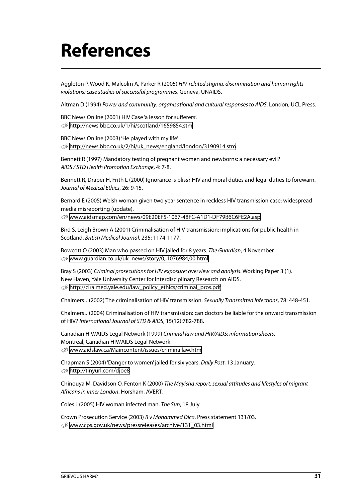# <span id="page-34-0"></span>**References**

Aggleton P, Wood K, Malcolm A, Parker R (2005) HIV-related stigma, discrimination and human rights violations: case studies of successful programmes. Geneva, UNAIDS.

Altman D (1994) Power and community: organisational and cultural responses to AIDS. London, UCL Press.

BBC News Online (2001) HIV Case 'a lesson for sufferers'. U <http://news.bbc.co.uk/1/hi/scotland/1659854.stm>

BBC News Online (2003) 'He played with my life'. U [http://news.bbc.co.uk/2/hi/uk\\_news/england/london/3190914.stm](http://news.bbc.co.uk/2/hi/uk_news/england/london/3190914.stm)

Bennett R (1997) Mandatory testing of pregnant women and newborns: a necessary evil? AIDS / STD Health Promotion Exchange, 4: 7-8.

Bennett R, Draper H, Frith L (2000) Ignorance is bliss? HIV and moral duties and legal duties to forewarn. Journal of Medical Ethics, 26: 9-15.

Bernard E (2005) Welsh woman given two year sentence in reckless HIV transmission case: widespread media misreporting (update).

U <www.aidsmap.com/en/news/09E20EF5-1067-48FC-A1D1-DF79B6C6FE2A.asp>

Bird S, Leigh Brown A (2001) Criminalisation of HIV transmission: implications for public health in Scotland. British Medical Journal, 235: 1174-1177.

Bowcott O (2003) Man who passed on HIV jailed for 8 years. The Guardian, 4 November. U [www.guardian.co.uk/uk\\_news/story/0,,1076984,00.html](www.guardian.co.uk/uk_news/story/0,,1076984,00.html)

Bray S (2003) Criminal prosecutions for HIV exposure: overview and analysis. Working Paper 3 (1). New Haven, Yale University Center for Interdisciplinary Research on AIDS. U [http://cira.med.yale.edu/law\\_policy\\_ethics/criminal\\_pros.pdf](http://cira.med.yale.edu/law_policy_ethics/criminal_pros.pdf)

Chalmers J (2002) The criminalisation of HIV transmission. Sexually Transmitted Infections, 78: 448-451.

Chalmers J (2004) Criminalisation of HIV transmission: can doctors be liable for the onward transmission of HIV? International Journal of STD & AIDS, 15(12):782-788.

Canadian HIV/AIDS Legal Network (1999) Criminal law and HIV/AIDS: information sheets. Montreal, Canadian HIV/AIDS Legal Network. U <www.aidslaw.ca/Maincontent/issues/criminallaw.htm>

Chapman S (2004) 'Danger to women' jailed for six years. Daily Post, 13 January.  $\otimes$  <http://tinyurl.com/djoe8>

Chinouya M, Davidson O, Fenton K (2000) The Mayisha report: sexual attitudes and lifestyles of migrant Africans in inner London. Horsham, AVERT.

Coles J (2005) HIV woman infected man. The Sun, 18 July.

Crown Prosecution Service (2003) R v Mohammed Dica. Press statement 131/03. U [www.cps.gov.uk/news/pressreleases/archive/131\\_03.html](www.cps.gov.uk/news/pressreleases/archive/131_03.html)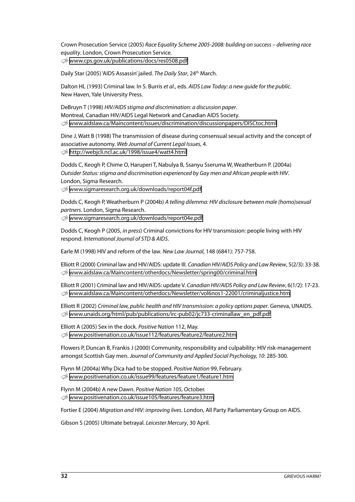Crown Prosecution Service (2005) Race Equality Scheme 2005-2008: building on success – delivering race equality. London, Crown Prosecution Service. U [www.cps.gov.uk/publications/docs/res0508.pdf](www.cps.gov.uk/publications/docs/res0508.pdf )

Daily Star (2005) 'AIDS Assassin' jailed. The Daily Star, 24th March.

Dalton HL (1993) Criminal law. In S. Burris et al., eds. AIDS Law Today: a new guide for the public. New Haven, Yale University Press.

DeBruyn T (1998) HIV/AIDS stigma and discrimination: a discussion paper. Montreal, Canadian HIV/AIDS Legal Network and Canadian AIDS Society.  $\otimes$  [www.aidslaw.ca/Maincontent/issues/discrimination/discussionpapers/DISCtoc.html](www.aidslaw.ca/Maincontent/issues/discrimination/discussionpapers/DISCtoc.html )

Dine J, Watt B (1998) The transmission of disease during consensual sexual activity and the concept of associative autonomy. Web Journal of Current Legal Issues, 4. U <http://webjcli.ncl.ac.uk/1998/issue4/watt4.html>

Dodds C, Keogh P, Chime O, Haruperi T, Nabulya B, Ssanyu Sseruma W, Weatherburn P. (2004a) Outsider Status: stigma and discrimination experienced by Gay men and African people with HIV. London, Sigma Research.

U <www.sigmaresearch.org.uk/downloads/report04f.pdf>

Dodds C, Keogh P, Weatherburn P (2004b) A telling dilemma: HIV disclosure between male (homo)sexual partners. London, Sigma Research.

U <www.sigmaresearch.org.uk/downloads/report04e.pdf>

Dodds C, Keogh P (2005, in press) Criminal convictions for HIV transmission: people living with HIV respond. International Journal of STD & AIDS.

Earle M (1998) HIV and reform of the law. New Law Journal, 148 (6841): 757-758.

Elliott R (2000) Criminal law and HIV/AIDS: update III. Canadian HIV/AIDS Policy and Law Review, 5(2/3): 33-38. U <www.aidslaw.ca/Maincontent/otherdocs/Newsletter/spring00/criminal.htm>

Elliott R (2001) Criminal law and HIV/AIDS: update V. Canadian HIV/AIDS Policy and Law Review, 6(1/2): 17-23. U <www.aidslaw.ca/Maincontent/otherdocs/Newsletter/vol6nos1-22001/criminaljustice.htm>

Elliott R (2002) Criminal law, public health and HIV transmission: a policy options paper. Geneva, UNAIDS. U [www.unaids.org/html/pub/publications/irc-pub02/jc733-criminallaw\\_en\\_pdf.pdf](www.unaids.org/html/pub/publications/irc-pub02/jc733-criminallaw_en_pdf.pdf)

Elliott A (2005) Sex in the dock. Positive Nation 112, May. U <www.positivenation.co.uk/issue112/features/feature2/feature2.htm>

Flowers P, Duncan B, Frankis J (2000) Community, responsibility and culpability: HIV risk-management amongst Scottish Gay men. Journal of Community and Applied Social Psychology, 10: 285-300.

Flynn M (2004a) Why Dica had to be stopped. Positive Nation 99, February. U <www.positivenation.co.uk/issue99/features/feature1/feature1.htm>

Flynn M (2004b) A new Dawn. Positive Nation 105, October. U <www.positivenation.co.uk/issue105/features/feature3.htm>

Fortier E (2004) Migration and HIV: improving lives. London, All Party Parliamentary Group on AIDS.

Gibson S (2005) Ultimate betrayal. Leicester Mercury, 30 April.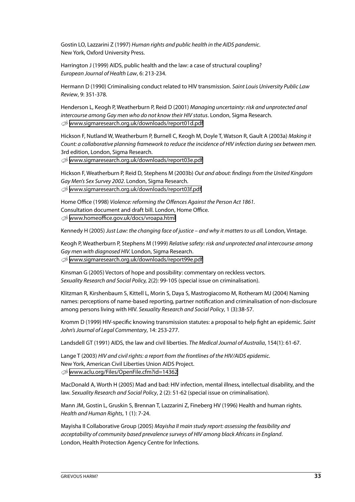Gostin LO, Lazzarini Z (1997) Human rights and public health in the AIDS pandemic. New York, Oxford University Press.

Harrington J (1999) AIDS, public health and the law: a case of structural coupling? European Journal of Health Law, 6: 213-234.

Hermann D (1990) Criminalising conduct related to HIV transmission. Saint Louis University Public Law Review, 9: 351-378.

Henderson L, Keogh P, Weatherburn P, Reid D (2001) Managing uncertainty: risk and unprotected anal intercourse among Gay men who do not know their HIV status. London, Sigma Research. U <www.sigmaresearch.org.uk/downloads/report01d.pdf>

Hickson F, Nutland W, Weatherburn P, Burnell C, Keogh M, Doyle T, Watson R, Gault A (2003a) Making it Count: a collaborative planning framework to reduce the incidence of HIV infection during sex between men. 3rd edition, London, Sigma Research.

U <www.sigmaresearch.org.uk/downloads/report03e.pdf>

Hickson F, Weatherburn P, Reid D, Stephens M (2003b) Out and about: findings from the United Kingdom Gay Men's Sex Survey 2002. London, Sigma Research.  $\otimes$  <www.sigmaresearch.org.uk/downloads/report03f.pdf>

Home Office (1998) Violence: reforming the Offences Against the Person Act 1861. Consultation document and draft bill. London, Home Office. U <www.homeoffice.gov.uk/docs/vroapa.html>

Kennedy H (2005) Just Law: the changing face of justice – and why it matters to us all. London, Vintage.

Keogh P, Weatherburn P, Stephens M (1999) Relative safety: risk and unprotected anal intercourse among Gay men with diagnosed HIV. London, Sigma Research. U <www.sigmaresearch.org.uk/downloads/report99e.pdf>

Kinsman G (2005) Vectors of hope and possibility: commentary on reckless vectors. Sexuality Research and Social Policy, 2(2): 99-105 (special issue on criminalisation).

Klitzman R, Kirshenbaum S, Kittell L, Morin S, Daya S, Mastrogiacomo M, Rotheram MJ (2004) Naming names: perceptions of name-based reporting, partner notification and criminalisation of non-disclosure among persons living with HIV. Sexuality Research and Social Policy, 1 (3):38-57.

Kromm D (1999) HIV-specific knowing transmission statutes: a proposal to help fight an epidemic. Saint John's Journal of Legal Commentary, 14: 253-277.

Landsdell GT (1991) AIDS, the law and civil liberties. The Medical Journal of Australia, 154(1): 61-67.

Lange T (2003) HIV and civil rights: a report from the frontlines of the HIV/AIDS epidemic. New York, American Civil Liberties Union AIDS Project. U <www.aclu.org/Files/OpenFile.cfm?id=14362>

MacDonald A, Worth H (2005) Mad and bad: HIV infection, mental illness, intellectual disability, and the law. Sexuality Research and Social Policy, 2 (2): 51-62 (special issue on criminalisation).

Mann JM, Gostin L, Gruskin S, Brennan T, Lazzarini Z, Fineberg HV (1996) Health and human rights. Health and Human Rights, 1 (1): 7-24.

Mayisha II Collaborative Group (2005) Mayisha II main study report: assessing the feasibility and acceptability of community based prevalence surveys of HIV among black Africans in England. London, Health Protection Agency Centre for Infections.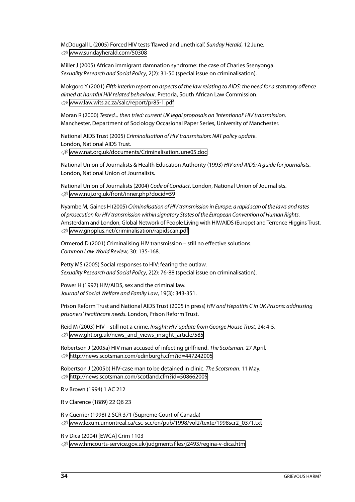McDougall L (2005) Forced HIV tests 'flawed and unethical'. Sunday Herald, 12 June.  $\otimes$  <www.sundayherald.com/50308>

Miller J (2005) African immigrant damnation syndrome: the case of Charles Ssenyonga. Sexuality Research and Social Policy, 2(2): 31-50 (special issue on criminalisation).

Mokgoro Y (2001) Fifth interim report on aspects of the law relating to AIDS: the need for a statutory offence aimed at harmful HIV related behaviour. Pretoria, South African Law Commission. U <www.law.wits.ac.za/salc/report/pr85-1.pdf>

Moran R (2000) Tested... then tried: current UK legal proposals on 'intentional' HIV transmission. Manchester, Department of Sociology Occasional Paper Series, University of Manchester.

National AIDS Trust (2005) Criminalisation of HIV transmission: NAT policy update. London, National AIDS Trust. U <www.nat.org.uk/documents/CriminalisationJune05.doc>

National Union of Journalists & Health Education Authority (1993) HIV and AIDS: A guide for journalists. London, National Union of Journalists.

National Union of Journalists (2004) Code of Conduct. London, National Union of Journalists.  $\otimes$  <www.nuj.org.uk/front/inner.php?docid=59>

Nyambe M, Gaines H (2005) Criminalisation of HIV transmission in Europe: a rapid scan of the laws and rates of prosecution for HIV transmission within signatory States of the European Convention of Human Rights. Amsterdam and London, Global Network of People Living with HIV/AIDS (Europe) and Terrence Higgins Trust.  $\otimes$  <www.gnpplus.net/criminalisation/rapidscan.pdf>

Ormerod D (2001) Criminalising HIV transmission – still no effective solutions. Common Law World Review, 30: 135-168.

Petty MS (2005) Social responses to HIV: fearing the outlaw. Sexuality Research and Social Policy, 2(2): 76-88 (special issue on criminalisation).

Power H (1997) HIV/AIDS, sex and the criminal law. Journal of Social Welfare and Family Law, 19(3): 343-351.

Prison Reform Trust and National AIDS Trust (2005 in press) HIV and Hepatitis C in UK Prisons: addressing prisoners' healthcare needs. London, Prison Reform Trust.

Reid M (2003) HIV – still not a crime. Insight: HIV update from George House Trust, 24: 4-5.  $\otimes$  [www.ght.org.uk/news\\_and\\_views\\_insight\\_article/585](www.ght.org.uk/news_and_views_insight_article/585)

Robertson J (2005a) HIV man accused of infecting girlfriend. The Scotsman. 27 April. U <http://news.scotsman.com/edinburgh.cfm?id=447242005>

Robertson J (2005b) HIV-case man to be detained in clinic. The Scotsman. 11 May. U <http://news.scotsman.com/scotland.cfm?id=508662005>

R v Brown (1994) 1 AC 212

R v Clarence (1889) 22 QB 23

R v Cuerrier (1998) 2 SCR 371 (Supreme Court of Canada) U [www.lexum.umontreal.ca/csc-scc/en/pub/1998/vol2/texte/1998scr2\\_0371.txt](www.lexum.umontreal.ca/csc-scc/en/pub/1998/vol2/texte/1998scr2_0371.txt)

R v Dica (2004) [EWCA] Crim 1103

U <www.hmcourts-service.gov.uk/judgmentsfiles/j2493/regina-v-dica.htm>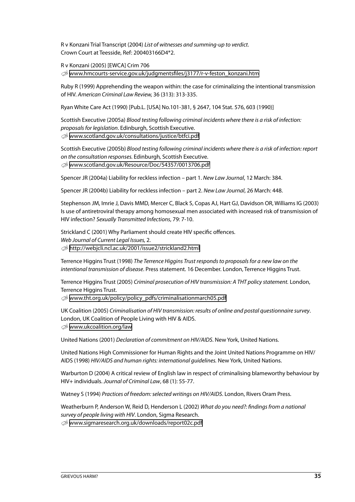R v Konzani Trial Transcript (2004) List of witnesses and summing-up to verdict. Crown Court at Teesside, Ref: 200403166D4\*2.

R v Konzani (2005) [EWCA] Crim 706 U [www.hmcourts-service.gov.uk/judgmentsfiles/j3177/r-v-feston\\_konzani.htm](www.hmcourts-service.gov.uk/judgmentsfiles/j3177/r-v-feston_konzani.htm)

Ruby R (1999) Apprehending the weapon within: the case for criminalizing the intentional transmission of HIV. American Criminal Law Review, 36 (313): 313-335.

Ryan White Care Act (1990) [Pub.L. [USA] No.101-381, § 2647, 104 Stat. 576, 603 (1990)]

Scottish Executive (2005a) Blood testing following criminal incidents where there is a risk of infection: proposals for legislation. Edinburgh, Scottish Executive. U <www.scotland.gov.uk/consultations/justice/btfci.pdf>

Scottish Executive (2005b) Blood testing following criminal incidents where there is a risk of infection: report on the consultation responses. Edinburgh, Scottish Executive. U <www.scotland.gov.uk/Resource/Doc/54357/0013706.pdf>

Spencer JR (2004a) Liability for reckless infection – part 1. New Law Journal, 12 March: 384.

Spencer JR (2004b) Liability for reckless infection – part 2. New Law Journal, 26 March: 448.

Stephenson JM, Imrie J, Davis MMD, Mercer C, Black S, Copas AJ, Hart GJ, Davidson OR, Williams IG (2003) Is use of antiretroviral therapy among homosexual men associated with increased risk of transmission of HIV infection? Sexually Transmitted Infections, 79: 7-10.

Strickland C (2001) Why Parliament should create HIV specific offences. Web Journal of Current Legal Issues, 2. U <http://webjcli.ncl.ac.uk/2001/issue2/strickland2.html>

Terrence Higgins Trust (1998) The Terrence Higgins Trust responds to proposals for a new law on the intentional transmission of disease. Press statement. 16 December. London, Terrence Higgins Trust.

Terrence Higgins Trust (2005) Criminal prosecution of HIV transmission: A THT policy statement. London, Terrence Higgins Trust.

U [www.tht.org.uk/policy/policy\\_pdfs/criminalisationmarch05.pdf](www.tht.org.uk/policy/policy_pdfs/criminalisationmarch05.pdf)

UK Coalition (2005) Criminalisation of HIV transmission: results of online and postal questionnaire survey. London, UK Coalition of People Living with HIV & AIDS.  $\otimes$  <www.ukcoalition.org/law>

United Nations (2001) Declaration of commitment on HIV/AIDS. New York, United Nations.

United Nations High Commissioner for Human Rights and the Joint United Nations Programme on HIV/ AIDS (1998) HIV/AIDS and human rights: international guidelines. New York, United Nations.

Warburton D (2004) A critical review of English law in respect of criminalising blameworthy behaviour by HIV+ individuals. Journal of Criminal Law, 68 (1): 55-77.

Watney S (1994) Practices of freedom: selected writings on HIV/AIDS. London, Rivers Oram Press.

Weatherburn P, Anderson W, Reid D, Henderson L (2002) What do you need?: findings from a national survey of people living with HIV. London, Sigma Research. U <www.sigmaresearch.org.uk/downloads/report02c.pdf>